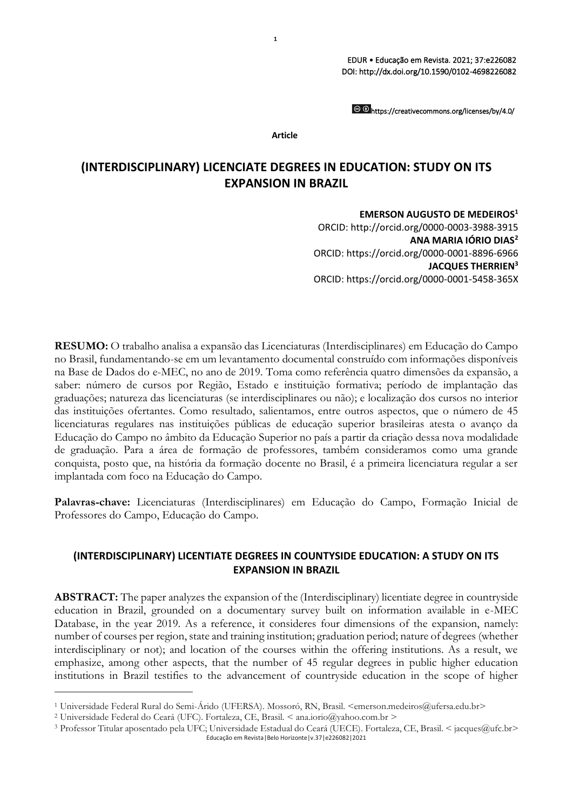EDUR • Educação em Revista. 2021; 37:e226082 DOI: http://dx.doi.org/10.1590/0102-4698226082

https://creativecommons.org/licenses/by/4.0/

### **Article**

**1**

## **(INTERDISCIPLINARY) LICENCIATE DEGREES IN EDUCATION: STUDY ON ITS EXPANSION IN BRAZIL**

**EMERSON AUGUSTO DE MEDEIROS<sup>1</sup>**

ORCID: http://orcid.org/0000-0003-3988-3915 **ANA MARIA IÓRIO DIAS<sup>2</sup>** ORCID:<https://orcid.org/0000-0001-8896-6966> **JACQUES THERRIEN<sup>3</sup>** ORCID: https://orcid.org/0000-0001-5458-365X

**RESUMO:** O trabalho analisa a expansão das Licenciaturas (Interdisciplinares) em Educação do Campo no Brasil, fundamentando-se em um levantamento documental construído com informações disponíveis na Base de Dados do e-MEC, no ano de 2019. Toma como referência quatro dimensões da expansão, a saber: número de cursos por Região, Estado e instituição formativa; período de implantação das graduações; natureza das licenciaturas (se interdisciplinares ou não); e localização dos cursos no interior das instituições ofertantes. Como resultado, salientamos, entre outros aspectos, que o número de 45 licenciaturas regulares nas instituições públicas de educação superior brasileiras atesta o avanço da Educação do Campo no âmbito da Educação Superior no país a partir da criação dessa nova modalidade de graduação. Para a área de formação de professores, também consideramos como uma grande conquista, posto que, na história da formação docente no Brasil, é a primeira licenciatura regular a ser implantada com foco na Educação do Campo.

**Palavras-chave:** Licenciaturas (Interdisciplinares) em Educação do Campo, Formação Inicial de Professores do Campo, Educação do Campo.

### **(INTERDISCIPLINARY) LICENTIATE DEGREES IN COUNTYSIDE EDUCATION: A STUDY ON ITS EXPANSION IN BRAZIL**

**ABSTRACT:** The paper analyzes the expansion of the (Interdisciplinary) licentiate degree in countryside education in Brazil, grounded on a documentary survey built on information available in e-MEC Database, in the year 2019. As a reference, it consideres four dimensions of the expansion, namely: number of courses per region, state and training institution; graduation period; nature of degrees (whether interdisciplinary or not); and location of the courses within the offering institutions. As a result, we emphasize, among other aspects, that the number of 45 regular degrees in public higher education institutions in Brazil testifies to the advancement of countryside education in the scope of higher

<sup>1</sup> Universidade Federal Rural do Semi-Árido (UFERSA). Mossoró, RN, Brasil. <emerson.medeiros@ufersa.edu.br>

<sup>2</sup> Universidade Federal do Ceará (UFC). Fortaleza, CE, Brasil. < ana.iorio@yahoo.com.br >

Educação em Revista|Belo Horizonte|v.37|e226082|2021 <sup>3</sup> Professor Titular aposentado pela UFC; Universidade Estadual do Ceará (UECE). Fortaleza, CE, Brasil. < jacques@ufc.br>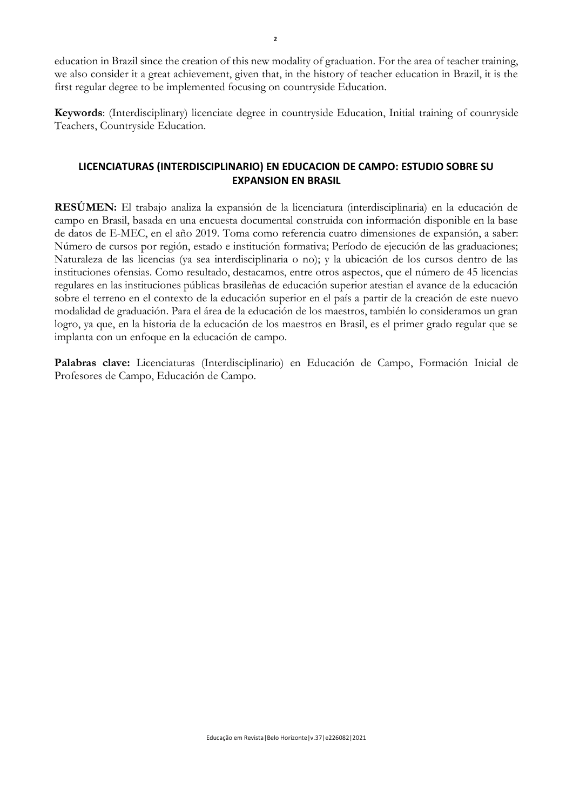education in Brazil since the creation of this new modality of graduation. For the area of teacher training, we also consider it a great achievement, given that, in the history of teacher education in Brazil, it is the first regular degree to be implemented focusing on countryside Education.

**Keywords**: (Interdisciplinary) licenciate degree in countryside Education, Initial training of counryside Teachers, Countryside Education.

### **LICENCIATURAS (INTERDISCIPLINARIO) EN EDUCACION DE CAMPO: ESTUDIO SOBRE SU EXPANSION EN BRASIL**

**RESÚMEN:** El trabajo analiza la expansión de la licenciatura (interdisciplinaria) en la educación de campo en Brasil, basada en una encuesta documental construida con información disponible en la base de datos de E-MEC, en el año 2019. Toma como referencia cuatro dimensiones de expansión, a saber: Número de cursos por región, estado e institución formativa; Período de ejecución de las graduaciones; Naturaleza de las licencias (ya sea interdisciplinaria o no); y la ubicación de los cursos dentro de las instituciones ofensias. Como resultado, destacamos, entre otros aspectos, que el número de 45 licencias regulares en las instituciones públicas brasileñas de educación superior atestian el avance de la educación sobre el terreno en el contexto de la educación superior en el país a partir de la creación de este nuevo modalidad de graduación. Para el área de la educación de los maestros, también lo consideramos un gran logro, ya que, en la historia de la educación de los maestros en Brasil, es el primer grado regular que se implanta con un enfoque en la educación de campo.

**Palabras clave:** Licenciaturas (Interdisciplinario) en Educación de Campo, Formación Inicial de Profesores de Campo, Educación de Campo.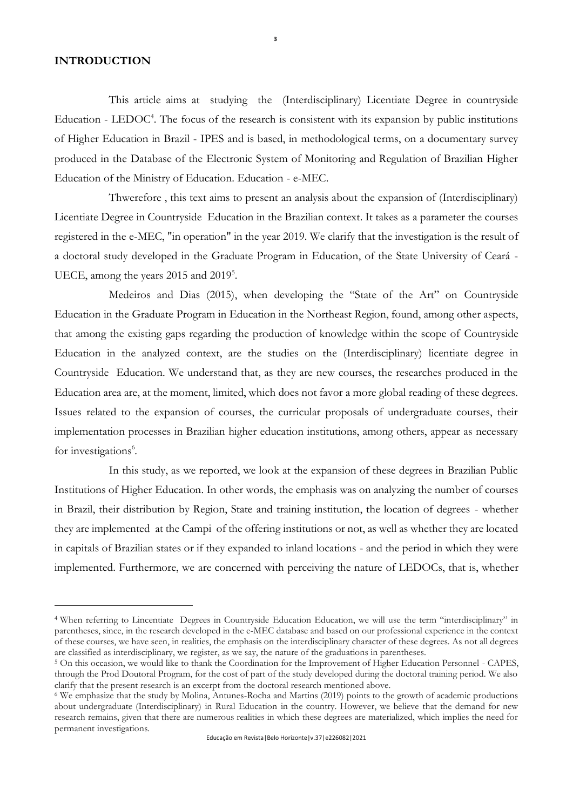### **INTRODUCTION**

This article aims at studying the (Interdisciplinary) Licentiate Degree in countryside Education - LEDOC<sup>4</sup>. The focus of the research is consistent with its expansion by public institutions of Higher Education in Brazil - IPES and is based, in methodological terms, on a documentary survey produced in the Database of the Electronic System of Monitoring and Regulation of Brazilian Higher Education of the Ministry of Education. Education - e-MEC.

**3**

Thwerefore , this text aims to present an analysis about the expansion of (Interdisciplinary) Licentiate Degree in Countryside Education in the Brazilian context. It takes as a parameter the courses registered in the e-MEC, "in operation" in the year 2019. We clarify that the investigation is the result of a doctoral study developed in the Graduate Program in Education, of the State University of Ceará - UECE, among the years 2015 and 2019<sup>5</sup>.

Medeiros and Dias (2015), when developing the "State of the Art" on Countryside Education in the Graduate Program in Education in the Northeast Region, found, among other aspects, that among the existing gaps regarding the production of knowledge within the scope of Countryside Education in the analyzed context, are the studies on the (Interdisciplinary) licentiate degree in Countryside Education. We understand that, as they are new courses, the researches produced in the Education area are, at the moment, limited, which does not favor a more global reading of these degrees. Issues related to the expansion of courses, the curricular proposals of undergraduate courses, their implementation processes in Brazilian higher education institutions, among others, appear as necessary for investigations<sup>6</sup>.

In this study, as we reported, we look at the expansion of these degrees in Brazilian Public Institutions of Higher Education. In other words, the emphasis was on analyzing the number of courses in Brazil, their distribution by Region, State and training institution, the location of degrees - whether they are implemented at the Campi of the offering institutions or not, as well as whether they are located in capitals of Brazilian states or if they expanded to inland locations - and the period in which they were implemented. Furthermore, we are concerned with perceiving the nature of LEDOCs, that is, whether

<sup>4</sup> When referring to Lincentiate Degrees in Countryside Education Education, we will use the term "interdisciplinary" in parentheses, since, in the research developed in the e-MEC database and based on our professional experience in the context of these courses, we have seen, in realities, the emphasis on the interdisciplinary character of these degrees. As not all degrees are classified as interdisciplinary, we register, as we say, the nature of the graduations in parentheses.

<sup>5</sup> On this occasion, we would like to thank the Coordination for the Improvement of Higher Education Personnel - CAPES, through the Prod Doutoral Program, for the cost of part of the study developed during the doctoral training period. We also clarify that the present research is an excerpt from the doctoral research mentioned above.

<sup>6</sup> We emphasize that the study by Molina, Antunes-Rocha and Martins (2019) points to the growth of academic productions about undergraduate (Interdisciplinary) in Rural Education in the country. However, we believe that the demand for new research remains, given that there are numerous realities in which these degrees are materialized, which implies the need for permanent investigations.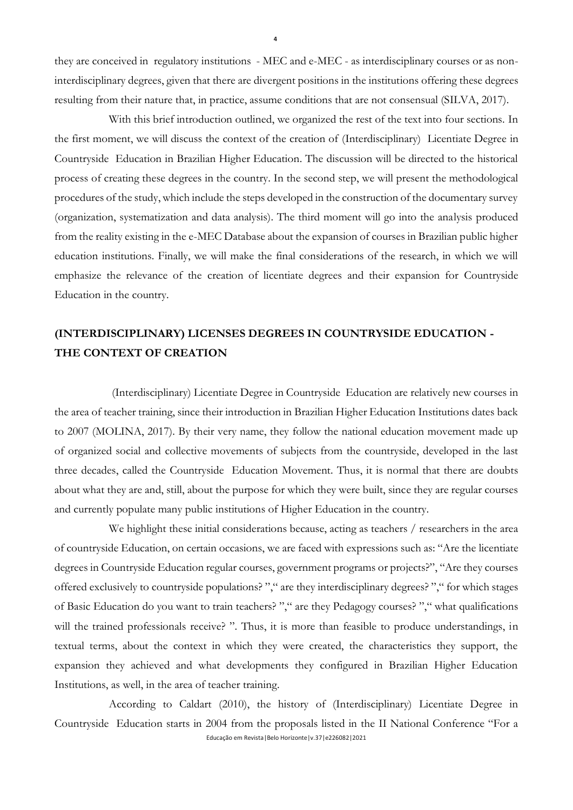they are conceived in regulatory institutions - MEC and e-MEC - as interdisciplinary courses or as noninterdisciplinary degrees, given that there are divergent positions in the institutions offering these degrees resulting from their nature that, in practice, assume conditions that are not consensual (SILVA, 2017).

With this brief introduction outlined, we organized the rest of the text into four sections. In the first moment, we will discuss the context of the creation of (Interdisciplinary) Licentiate Degree in Countryside Education in Brazilian Higher Education. The discussion will be directed to the historical process of creating these degrees in the country. In the second step, we will present the methodological procedures of the study, which include the steps developed in the construction of the documentary survey (organization, systematization and data analysis). The third moment will go into the analysis produced from the reality existing in the e-MEC Database about the expansion of courses in Brazilian public higher education institutions. Finally, we will make the final considerations of the research, in which we will emphasize the relevance of the creation of licentiate degrees and their expansion for Countryside Education in the country.

# **(INTERDISCIPLINARY) LICENSES DEGREES IN COUNTRYSIDE EDUCATION - THE CONTEXT OF CREATION**

(Interdisciplinary) Licentiate Degree in Countryside Education are relatively new courses in the area of teacher training, since their introduction in Brazilian Higher Education Institutions dates back to 2007 (MOLINA, 2017). By their very name, they follow the national education movement made up of organized social and collective movements of subjects from the countryside, developed in the last three decades, called the Countryside Education Movement. Thus, it is normal that there are doubts about what they are and, still, about the purpose for which they were built, since they are regular courses and currently populate many public institutions of Higher Education in the country.

We highlight these initial considerations because, acting as teachers / researchers in the area of countryside Education, on certain occasions, we are faced with expressions such as: "Are the licentiate degrees in Countryside Education regular courses, government programs or projects?", "Are they courses offered exclusively to countryside populations? "," are they interdisciplinary degrees? "," for which stages of Basic Education do you want to train teachers? "," are they Pedagogy courses? "," what qualifications will the trained professionals receive? ". Thus, it is more than feasible to produce understandings, in textual terms, about the context in which they were created, the characteristics they support, the expansion they achieved and what developments they configured in Brazilian Higher Education Institutions, as well, in the area of teacher training.

Educação em Revista|Belo Horizonte|v.37|e226082|2021 According to Caldart (2010), the history of (Interdisciplinary) Licentiate Degree in Countryside Education starts in 2004 from the proposals listed in the II National Conference "For a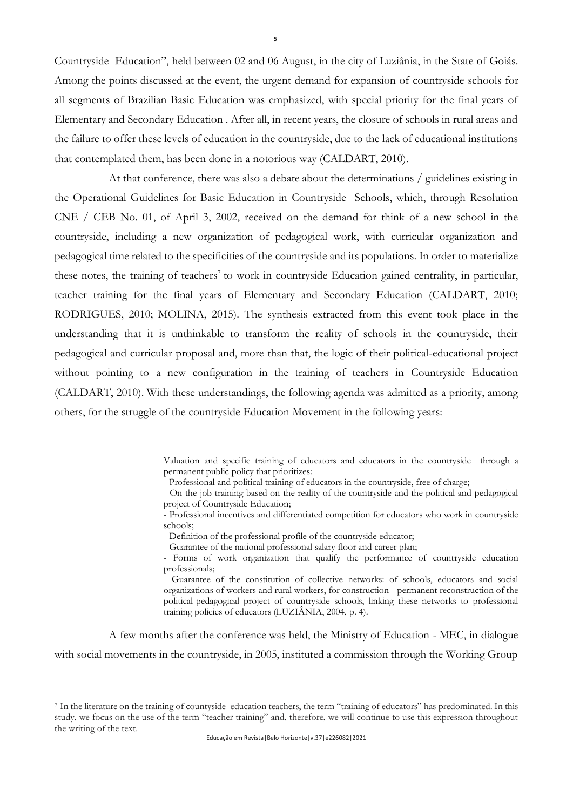Countryside Education", held between 02 and 06 August, in the city of Luziânia, in the State of Goiás. Among the points discussed at the event, the urgent demand for expansion of countryside schools for all segments of Brazilian Basic Education was emphasized, with special priority for the final years of Elementary and Secondary Education . After all, in recent years, the closure of schools in rural areas and the failure to offer these levels of education in the countryside, due to the lack of educational institutions that contemplated them, has been done in a notorious way (CALDART, 2010).

At that conference, there was also a debate about the determinations / guidelines existing in the Operational Guidelines for Basic Education in Countryside Schools, which, through Resolution CNE / CEB No. 01, of April 3, 2002, received on the demand for think of a new school in the countryside, including a new organization of pedagogical work, with curricular organization and pedagogical time related to the specificities of the countryside and its populations. In order to materialize these notes, the training of teachers<sup>7</sup> to work in countryside Education gained centrality, in particular, teacher training for the final years of Elementary and Secondary Education (CALDART, 2010; RODRIGUES, 2010; MOLINA, 2015). The synthesis extracted from this event took place in the understanding that it is unthinkable to transform the reality of schools in the countryside, their pedagogical and curricular proposal and, more than that, the logic of their political-educational project without pointing to a new configuration in the training of teachers in Countryside Education (CALDART, 2010). With these understandings, the following agenda was admitted as a priority, among others, for the struggle of the countryside Education Movement in the following years:

> Valuation and specific training of educators and educators in the countryside through a permanent public policy that prioritizes:

- Professional and political training of educators in the countryside, free of charge;

- On-the-job training based on the reality of the countryside and the political and pedagogical project of Countryside Education;

- Professional incentives and differentiated competition for educators who work in countryside schools;

- Definition of the professional profile of the countryside educator;
- Guarantee of the national professional salary floor and career plan;

- Forms of work organization that qualify the performance of countryside education professionals;

- Guarantee of the constitution of collective networks: of schools, educators and social organizations of workers and rural workers, for construction - permanent reconstruction of the political-pedagogical project of countryside schools, linking these networks to professional training policies of educators (LUZIÂNIA, 2004, p. 4).

A few months after the conference was held, the Ministry of Education - MEC, in dialogue with social movements in the countryside, in 2005, instituted a commission through the Working Group

<sup>7</sup> In the literature on the training of countyside education teachers, the term "training of educators" has predominated. In this study, we focus on the use of the term "teacher training" and, therefore, we will continue to use this expression throughout the writing of the text.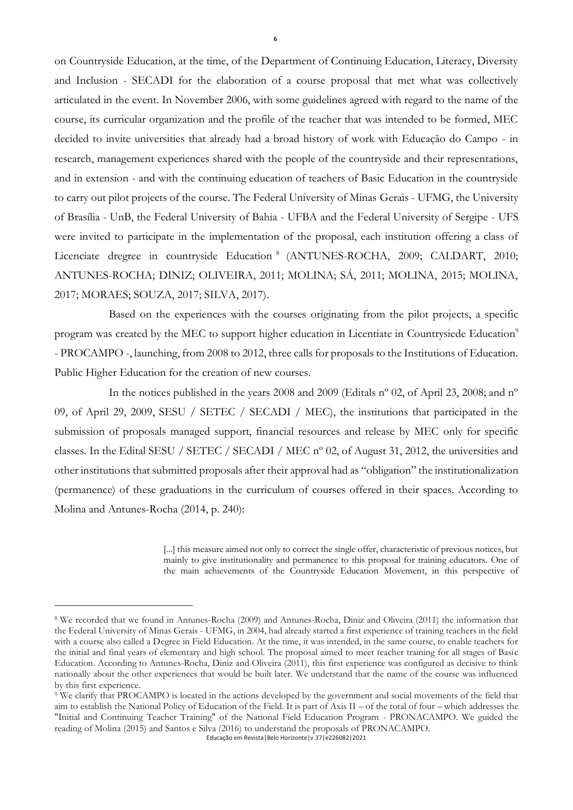on Countryside Education, at the time, of the Department of Continuing Education, Literacy, Diversity and Inclusion - SECADI for the elaboration of a course proposal that met what was collectively articulated in the event. In November 2006, with some guidelines agreed with regard to the name of the course, its curricular organization and the profile of the teacher that was intended to be formed, MEC decided to invite universities that already had a broad history of work with Educação do Campo - in research, management experiences shared with the people of the countryside and their representations, and in extension - and with the continuing education of teachers of Basic Education in the countryside to carry out pilot projects of the course. The Federal University of Minas Gerais - UFMG, the University of Brasília - UnB, the Federal University of Bahia - UFBA and the Federal University of Sergipe - UFS were invited to participate in the implementation of the proposal, each institution offering a class of Licenciate dregree in countryside Education<sup>8</sup> (ANTUNES-ROCHA, 2009; CALDART, 2010; ANTUNES-ROCHA; DINIZ; OLIVEIRA, 2011; MOLINA; SÁ, 2011; MOLINA, 2015; MOLINA, 2017; MORAES; SOUZA, 2017; SILVA, 2017).

Based on the experiences with the courses originating from the pilot projects, a specific program was created by the MEC to support higher education in Licentiate in Countrysiede Education<sup>9</sup> - PROCAMPO -, launching, from 2008 to 2012, three calls for proposals to the Institutions of Education. Public Higher Education for the creation of new courses.

In the notices published in the years 2008 and 2009 (Editals n° 02, of April 23, 2008; and n° 09, of April 29, 2009, SESU / SETEC / SECADI / MEC), the institutions that participated in the submission of proposals managed support, financial resources and release by MEC only for specific classes. In the Edital SESU / SETEC / SECADI / MEC nº 02, of August 31, 2012, the universities and other institutions that submitted proposals after their approval had as "obligation" the institutionalization (permanence) of these graduations in the curriculum of courses offered in their spaces. According to Molina and Antunes-Rocha (2014, p. 240):

> [...] this measure aimed not only to correct the single offer, characteristic of previous notices, but mainly to give institutionality and permanence to this proposal for training educators. One of the main achievements of the Countryside Education Movement, in this perspective of

<sup>8</sup> We recorded that we found in Antunes-Rocha (2009) and Antunes-Rocha, Diniz and Oliveira (2011) the information that the Federal University of Minas Gerais - UFMG, in 2004, had already started a first experience of training teachers in the field with a course also called a Degree in Field Education. At the time, it was intended, in the same course, to enable teachers for the initial and final years of elementary and high school. The proposal aimed to meet teacher training for all stages of Basic Education. According to Antunes-Rocha, Diniz and Oliveira (2011), this first experience was configured as decisive to think nationally about the other experiences that would be built later. We understand that the name of the course was influenced by this first experience.

Educação em Revista|Belo Horizonte|v.37|e226082|2021 <sup>9</sup> We clarify that PROCAMPO is located in the actions developed by the government and social movements of the field that aim to establish the National Policy of Education of the Field. It is part of Axis II – of the total of four – which addresses the "Initial and Continuing Teacher Training" of the National Field Education Program - PRONACAMPO. We guided the reading of Molina (2015) and Santos e Silva (2016) to understand the proposals of PRONACAMPO.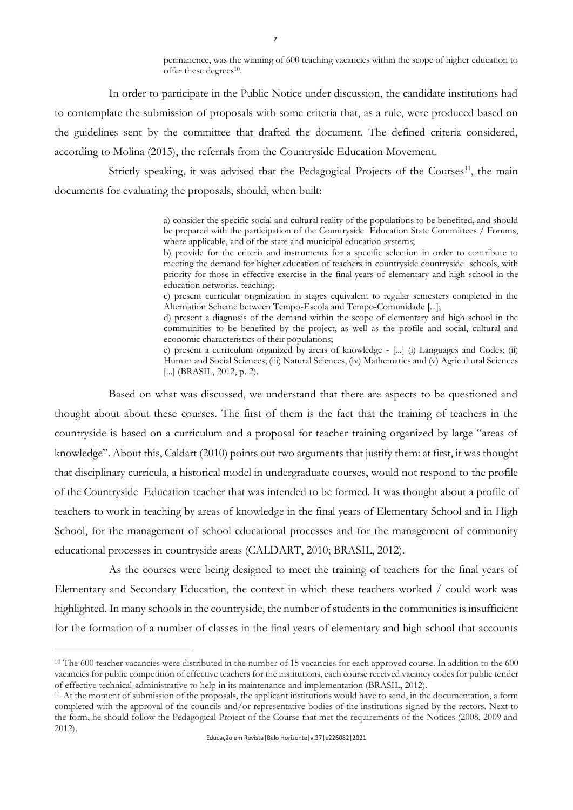permanence, was the winning of 600 teaching vacancies within the scope of higher education to offer these degrees<sup>10</sup>.

In order to participate in the Public Notice under discussion, the candidate institutions had to contemplate the submission of proposals with some criteria that, as a rule, were produced based on the guidelines sent by the committee that drafted the document. The defined criteria considered, according to Molina (2015), the referrals from the Countryside Education Movement.

Strictly speaking, it was advised that the Pedagogical Projects of the Courses<sup>11</sup>, the main documents for evaluating the proposals, should, when built:

> a) consider the specific social and cultural reality of the populations to be benefited, and should be prepared with the participation of the Countryside Education State Committees / Forums, where applicable, and of the state and municipal education systems;

> b) provide for the criteria and instruments for a specific selection in order to contribute to meeting the demand for higher education of teachers in countryside countryside schools, with priority for those in effective exercise in the final years of elementary and high school in the education networks. teaching;

> c) present curricular organization in stages equivalent to regular semesters completed in the Alternation Scheme between Tempo-Escola and Tempo-Comunidade [...];

> d) present a diagnosis of the demand within the scope of elementary and high school in the communities to be benefited by the project, as well as the profile and social, cultural and economic characteristics of their populations;

> e) present a curriculum organized by areas of knowledge - [...] (i) Languages and Codes; (ii) Human and Social Sciences; (iii) Natural Sciences, (iv) Mathematics and (v) Agricultural Sciences [...] (BRASIL, 2012, p. 2).

Based on what was discussed, we understand that there are aspects to be questioned and thought about about these courses. The first of them is the fact that the training of teachers in the countryside is based on a curriculum and a proposal for teacher training organized by large "areas of knowledge". About this, Caldart (2010) points out two arguments that justify them: at first, it was thought that disciplinary curricula, a historical model in undergraduate courses, would not respond to the profile of the Countryside Education teacher that was intended to be formed. It was thought about a profile of teachers to work in teaching by areas of knowledge in the final years of Elementary School and in High School, for the management of school educational processes and for the management of community educational processes in countryside areas (CALDART, 2010; BRASIL, 2012).

As the courses were being designed to meet the training of teachers for the final years of Elementary and Secondary Education, the context in which these teachers worked / could work was highlighted. In many schools in the countryside, the number of students in the communities is insufficient for the formation of a number of classes in the final years of elementary and high school that accounts

<sup>&</sup>lt;sup>10</sup> The 600 teacher vacancies were distributed in the number of 15 vacancies for each approved course. In addition to the 600 vacancies for public competition of effective teachers for the institutions, each course received vacancy codes for public tender of effective technical-administrative to help in its maintenance and implementation (BRASIL, 2012).

<sup>&</sup>lt;sup>11</sup> At the moment of submission of the proposals, the applicant institutions would have to send, in the documentation, a form completed with the approval of the councils and/or representative bodies of the institutions signed by the rectors. Next to the form, he should follow the Pedagogical Project of the Course that met the requirements of the Notices (2008, 2009 and 2012).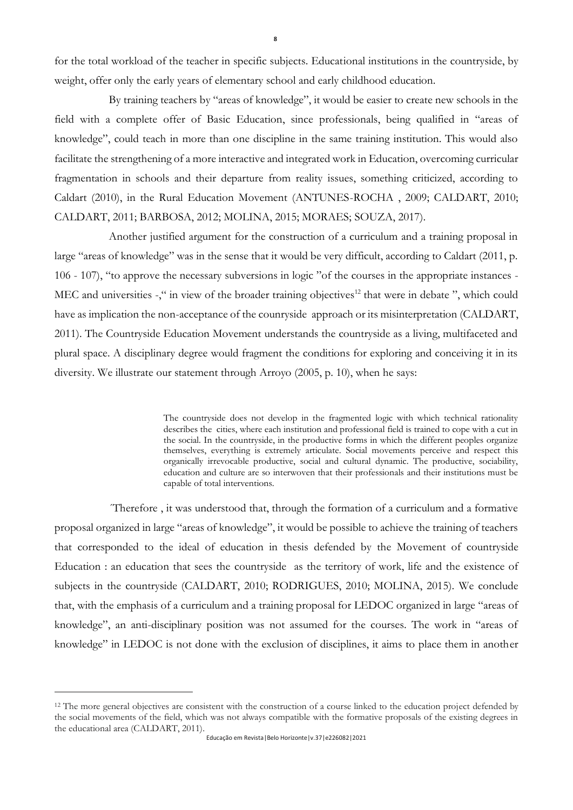for the total workload of the teacher in specific subjects. Educational institutions in the countryside, by weight, offer only the early years of elementary school and early childhood education.

**8**

By training teachers by "areas of knowledge", it would be easier to create new schools in the field with a complete offer of Basic Education, since professionals, being qualified in "areas of knowledge", could teach in more than one discipline in the same training institution. This would also facilitate the strengthening of a more interactive and integrated work in Education, overcoming curricular fragmentation in schools and their departure from reality issues, something criticized, according to Caldart (2010), in the Rural Education Movement (ANTUNES-ROCHA , 2009; CALDART, 2010; CALDART, 2011; BARBOSA, 2012; MOLINA, 2015; MORAES; SOUZA, 2017).

Another justified argument for the construction of a curriculum and a training proposal in large "areas of knowledge" was in the sense that it would be very difficult, according to Caldart (2011, p. 106 - 107), "to approve the necessary subversions in logic "of the courses in the appropriate instances - MEC and universities -," in view of the broader training objectives<sup>12</sup> that were in debate ", which could have as implication the non-acceptance of the counryside approach or its misinterpretation (CALDART, 2011). The Countryside Education Movement understands the countryside as a living, multifaceted and plural space. A disciplinary degree would fragment the conditions for exploring and conceiving it in its diversity. We illustrate our statement through Arroyo (2005, p. 10), when he says:

> The countryside does not develop in the fragmented logic with which technical rationality describes the cities, where each institution and professional field is trained to cope with a cut in the social. In the countryside, in the productive forms in which the different peoples organize themselves, everything is extremely articulate. Social movements perceive and respect this organically irrevocable productive, social and cultural dynamic. The productive, sociability, education and culture are so interwoven that their professionals and their institutions must be capable of total interventions.

´Therefore , it was understood that, through the formation of a curriculum and a formative proposal organized in large "areas of knowledge", it would be possible to achieve the training of teachers that corresponded to the ideal of education in thesis defended by the Movement of countryside Education : an education that sees the countryside as the territory of work, life and the existence of subjects in the countryside (CALDART, 2010; RODRIGUES, 2010; MOLINA, 2015). We conclude that, with the emphasis of a curriculum and a training proposal for LEDOC organized in large "areas of knowledge", an anti-disciplinary position was not assumed for the courses. The work in "areas of knowledge" in LEDOC is not done with the exclusion of disciplines, it aims to place them in another

<sup>&</sup>lt;sup>12</sup> The more general objectives are consistent with the construction of a course linked to the education project defended by the social movements of the field, which was not always compatible with the formative proposals of the existing degrees in the educational area (CALDART, 2011).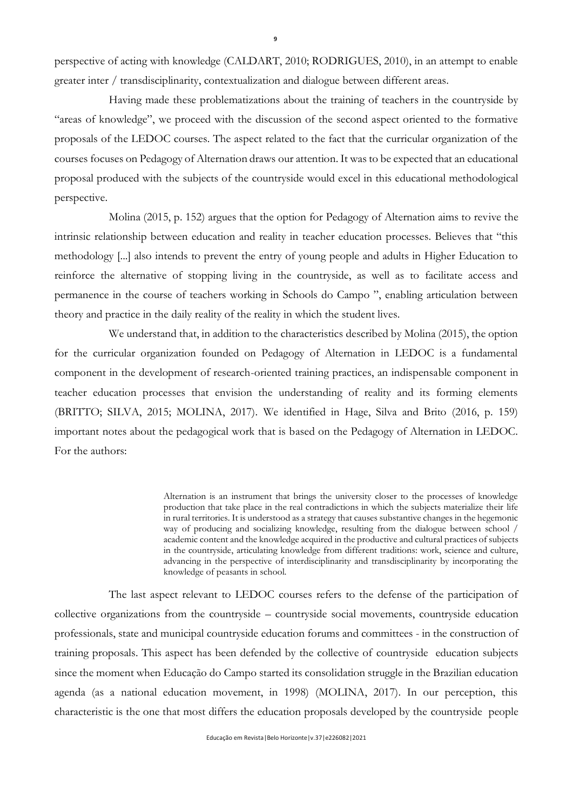perspective of acting with knowledge (CALDART, 2010; RODRIGUES, 2010), in an attempt to enable greater inter / transdisciplinarity, contextualization and dialogue between different areas.

Having made these problematizations about the training of teachers in the countryside by "areas of knowledge", we proceed with the discussion of the second aspect oriented to the formative proposals of the LEDOC courses. The aspect related to the fact that the curricular organization of the courses focuses on Pedagogy of Alternation draws our attention. It was to be expected that an educational proposal produced with the subjects of the countryside would excel in this educational methodological perspective.

Molina (2015, p. 152) argues that the option for Pedagogy of Alternation aims to revive the intrinsic relationship between education and reality in teacher education processes. Believes that "this methodology [...] also intends to prevent the entry of young people and adults in Higher Education to reinforce the alternative of stopping living in the countryside, as well as to facilitate access and permanence in the course of teachers working in Schools do Campo ", enabling articulation between theory and practice in the daily reality of the reality in which the student lives.

We understand that, in addition to the characteristics described by Molina (2015), the option for the curricular organization founded on Pedagogy of Alternation in LEDOC is a fundamental component in the development of research-oriented training practices, an indispensable component in teacher education processes that envision the understanding of reality and its forming elements (BRITTO; SILVA, 2015; MOLINA, 2017). We identified in Hage, Silva and Brito (2016, p. 159) important notes about the pedagogical work that is based on the Pedagogy of Alternation in LEDOC. For the authors:

> Alternation is an instrument that brings the university closer to the processes of knowledge production that take place in the real contradictions in which the subjects materialize their life in rural territories. It is understood as a strategy that causes substantive changes in the hegemonic way of producing and socializing knowledge, resulting from the dialogue between school / academic content and the knowledge acquired in the productive and cultural practices of subjects in the countryside, articulating knowledge from different traditions: work, science and culture, advancing in the perspective of interdisciplinarity and transdisciplinarity by incorporating the knowledge of peasants in school.

The last aspect relevant to LEDOC courses refers to the defense of the participation of collective organizations from the countryside – countryside social movements, countryside education professionals, state and municipal countryside education forums and committees - in the construction of training proposals. This aspect has been defended by the collective of countryside education subjects since the moment when Educação do Campo started its consolidation struggle in the Brazilian education agenda (as a national education movement, in 1998) (MOLINA, 2017). In our perception, this characteristic is the one that most differs the education proposals developed by the countryside people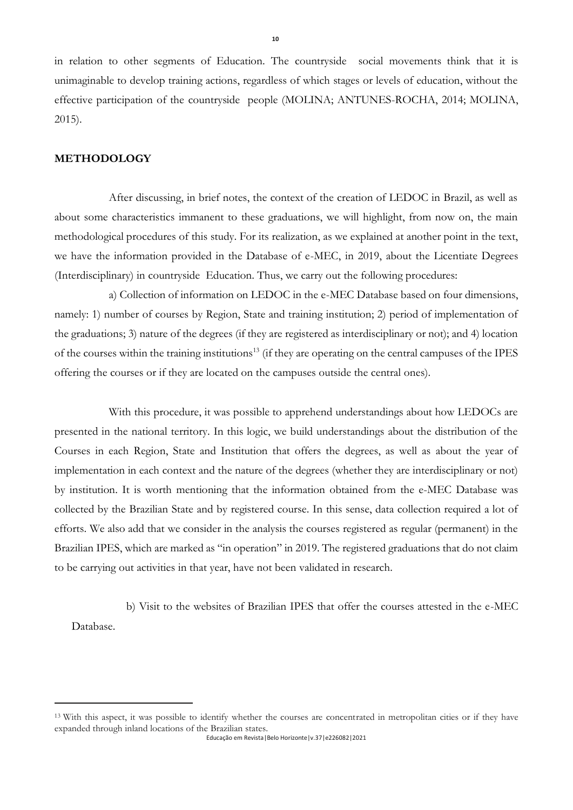in relation to other segments of Education. The countryside social movements think that it is unimaginable to develop training actions, regardless of which stages or levels of education, without the effective participation of the countryside people (MOLINA; ANTUNES-ROCHA, 2014; MOLINA, 2015).

#### **METHODOLOGY**

After discussing, in brief notes, the context of the creation of LEDOC in Brazil, as well as about some characteristics immanent to these graduations, we will highlight, from now on, the main methodological procedures of this study. For its realization, as we explained at another point in the text, we have the information provided in the Database of e-MEC, in 2019, about the Licentiate Degrees (Interdisciplinary) in countryside Education. Thus, we carry out the following procedures:

a) Collection of information on LEDOC in the e-MEC Database based on four dimensions, namely: 1) number of courses by Region, State and training institution; 2) period of implementation of the graduations; 3) nature of the degrees (if they are registered as interdisciplinary or not); and 4) location of the courses within the training institutions<sup>13</sup> (if they are operating on the central campuses of the IPES offering the courses or if they are located on the campuses outside the central ones).

With this procedure, it was possible to apprehend understandings about how LEDOCs are presented in the national territory. In this logic, we build understandings about the distribution of the Courses in each Region, State and Institution that offers the degrees, as well as about the year of implementation in each context and the nature of the degrees (whether they are interdisciplinary or not) by institution. It is worth mentioning that the information obtained from the e-MEC Database was collected by the Brazilian State and by registered course. In this sense, data collection required a lot of efforts. We also add that we consider in the analysis the courses registered as regular (permanent) in the Brazilian IPES, which are marked as "in operation" in 2019. The registered graduations that do not claim to be carrying out activities in that year, have not been validated in research.

b) Visit to the websites of Brazilian IPES that offer the courses attested in the e-MEC Database.

<sup>&</sup>lt;sup>13</sup> With this aspect, it was possible to identify whether the courses are concentrated in metropolitan cities or if they have expanded through inland locations of the Brazilian states.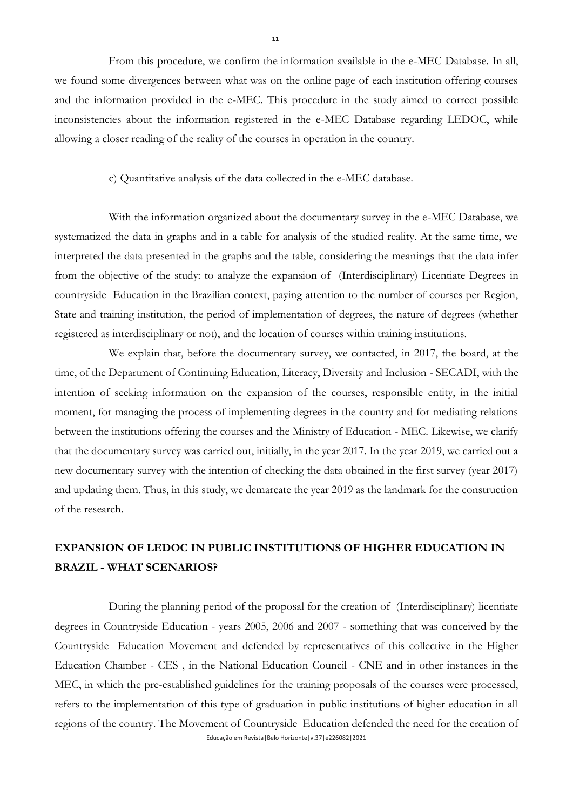From this procedure, we confirm the information available in the e-MEC Database. In all, we found some divergences between what was on the online page of each institution offering courses and the information provided in the e-MEC. This procedure in the study aimed to correct possible inconsistencies about the information registered in the e-MEC Database regarding LEDOC, while allowing a closer reading of the reality of the courses in operation in the country.

c) Quantitative analysis of the data collected in the e-MEC database.

With the information organized about the documentary survey in the e-MEC Database, we systematized the data in graphs and in a table for analysis of the studied reality. At the same time, we interpreted the data presented in the graphs and the table, considering the meanings that the data infer from the objective of the study: to analyze the expansion of (Interdisciplinary) Licentiate Degrees in countryside Education in the Brazilian context, paying attention to the number of courses per Region, State and training institution, the period of implementation of degrees, the nature of degrees (whether registered as interdisciplinary or not), and the location of courses within training institutions.

We explain that, before the documentary survey, we contacted, in 2017, the board, at the time, of the Department of Continuing Education, Literacy, Diversity and Inclusion - SECADI, with the intention of seeking information on the expansion of the courses, responsible entity, in the initial moment, for managing the process of implementing degrees in the country and for mediating relations between the institutions offering the courses and the Ministry of Education - MEC. Likewise, we clarify that the documentary survey was carried out, initially, in the year 2017. In the year 2019, we carried out a new documentary survey with the intention of checking the data obtained in the first survey (year 2017) and updating them. Thus, in this study, we demarcate the year 2019 as the landmark for the construction of the research.

## **EXPANSION OF LEDOC IN PUBLIC INSTITUTIONS OF HIGHER EDUCATION IN BRAZIL - WHAT SCENARIOS?**

Educação em Revista|Belo Horizonte|v.37|e226082|2021 During the planning period of the proposal for the creation of (Interdisciplinary) licentiate degrees in Countryside Education - years 2005, 2006 and 2007 - something that was conceived by the Countryside Education Movement and defended by representatives of this collective in the Higher Education Chamber - CES , in the National Education Council - CNE and in other instances in the MEC, in which the pre-established guidelines for the training proposals of the courses were processed, refers to the implementation of this type of graduation in public institutions of higher education in all regions of the country. The Movement of Countryside Education defended the need for the creation of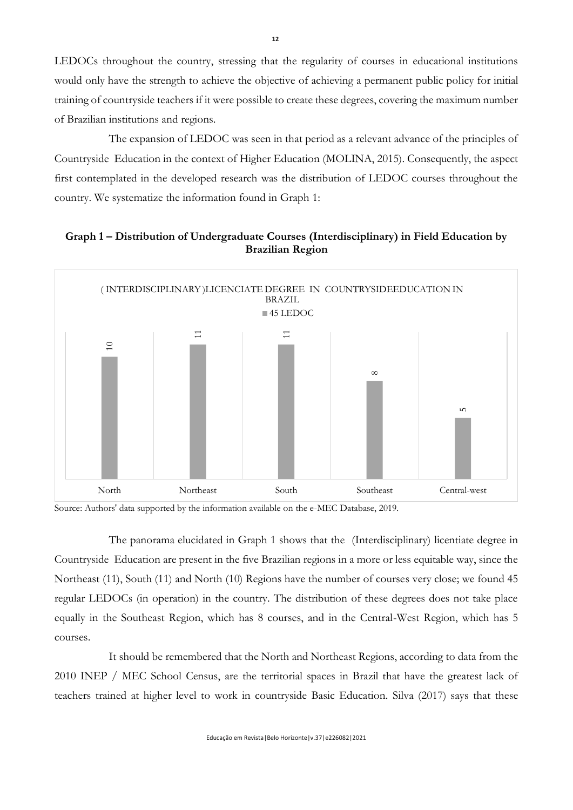LEDOCs throughout the country, stressing that the regularity of courses in educational institutions would only have the strength to achieve the objective of achieving a permanent public policy for initial training of countryside teachers if it were possible to create these degrees, covering the maximum number of Brazilian institutions and regions.

The expansion of LEDOC was seen in that period as a relevant advance of the principles of Countryside Education in the context of Higher Education (MOLINA, 2015). Consequently, the aspect first contemplated in the developed research was the distribution of LEDOC courses throughout the country. We systematize the information found in Graph 1:





Source: Authors' data supported by the information available on the e-MEC Database, 2019.

The panorama elucidated in Graph 1 shows that the (Interdisciplinary) licentiate degree in Countryside Education are present in the five Brazilian regions in a more or less equitable way, since the Northeast (11), South (11) and North (10) Regions have the number of courses very close; we found 45 regular LEDOCs (in operation) in the country. The distribution of these degrees does not take place equally in the Southeast Region, which has 8 courses, and in the Central-West Region, which has 5 courses.

It should be remembered that the North and Northeast Regions, according to data from the 2010 INEP / MEC School Census, are the territorial spaces in Brazil that have the greatest lack of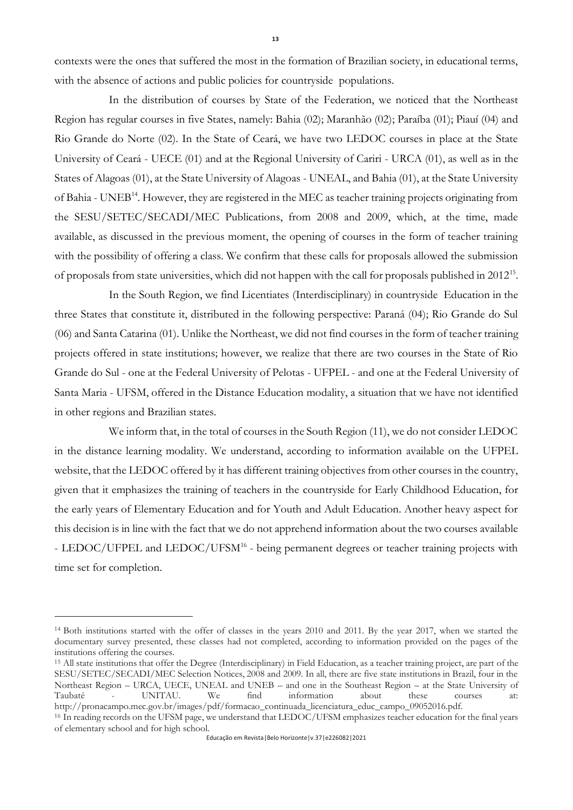contexts were the ones that suffered the most in the formation of Brazilian society, in educational terms, with the absence of actions and public policies for countryside populations.

In the distribution of courses by State of the Federation, we noticed that the Northeast Region has regular courses in five States, namely: Bahia (02); Maranhão (02); Paraíba (01); Piauí (04) and Rio Grande do Norte (02). In the State of Ceará, we have two LEDOC courses in place at the State University of Ceará - UECE (01) and at the Regional University of Cariri - URCA (01), as well as in the States of Alagoas (01), at the State University of Alagoas - UNEAL, and Bahia (01), at the State University of Bahia - UNEB<sup>14</sup>. However, they are registered in the MEC as teacher training projects originating from the SESU/SETEC/SECADI/MEC Publications, from 2008 and 2009, which, at the time, made available, as discussed in the previous moment, the opening of courses in the form of teacher training with the possibility of offering a class. We confirm that these calls for proposals allowed the submission of proposals from state universities, which did not happen with the call for proposals published in 2012<sup>15</sup>.

In the South Region, we find Licentiates (Interdisciplinary) in countryside Education in the three States that constitute it, distributed in the following perspective: Paraná (04); Rio Grande do Sul (06) and Santa Catarina (01). Unlike the Northeast, we did not find courses in the form of teacher training projects offered in state institutions; however, we realize that there are two courses in the State of Rio Grande do Sul - one at the Federal University of Pelotas - UFPEL - and one at the Federal University of Santa Maria - UFSM, offered in the Distance Education modality, a situation that we have not identified in other regions and Brazilian states.

We inform that, in the total of courses in the South Region (11), we do not consider LEDOC in the distance learning modality. We understand, according to information available on the UFPEL website, that the LEDOC offered by it has different training objectives from other courses in the country, given that it emphasizes the training of teachers in the countryside for Early Childhood Education, for the early years of Elementary Education and for Youth and Adult Education. Another heavy aspect for this decision is in line with the fact that we do not apprehend information about the two courses available - LEDOC/UFPEL and LEDOC/UFSM<sup>16</sup> - being permanent degrees or teacher training projects with time set for completion.

of elementary school and for high school.

<sup>&</sup>lt;sup>14</sup> Both institutions started with the offer of classes in the years 2010 and 2011. By the year 2017, when we started the documentary survey presented, these classes had not completed, according to information provided on the pages of the institutions offering the courses.

<sup>15</sup> All state institutions that offer the Degree (Interdisciplinary) in Field Education, as a teacher training project, are part of the SESU/SETEC/SECADI/MEC Selection Notices, 2008 and 2009. In all, there are five state institutions in Brazil, four in the Northeast Region – URCA, UECE, UNEAL and UNEB – and one in the Southeast Region – at the State University of Taubaté - UNITAU. We find information about these courses at: http://pronacampo.mec.gov.br/images/pdf/formacao\_continuada\_licenciatura\_educ\_campo\_09052016.pdf. <sup>16</sup> In reading records on the UFSM page, we understand that LEDOC/UFSM emphasizes teacher education for the final years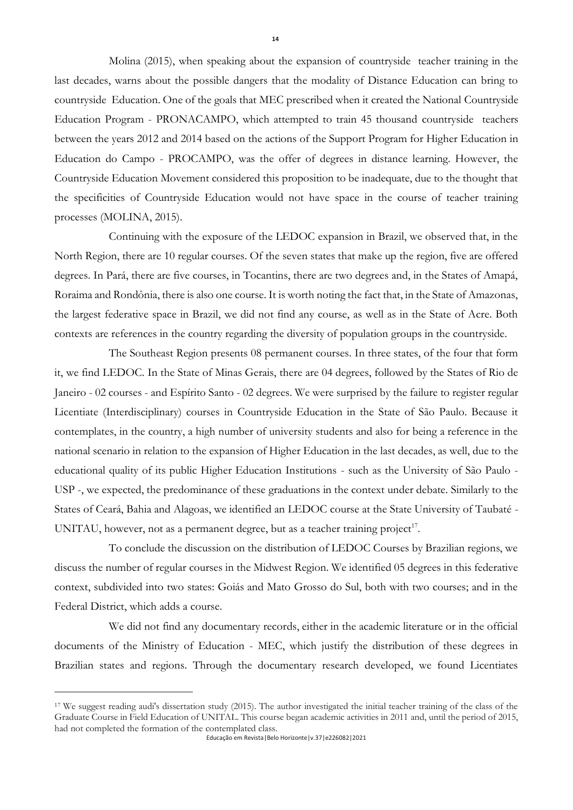Molina (2015), when speaking about the expansion of countryside teacher training in the last decades, warns about the possible dangers that the modality of Distance Education can bring to countryside Education. One of the goals that MEC prescribed when it created the National Countryside Education Program - PRONACAMPO, which attempted to train 45 thousand countryside teachers between the years 2012 and 2014 based on the actions of the Support Program for Higher Education in Education do Campo - PROCAMPO, was the offer of degrees in distance learning. However, the Countryside Education Movement considered this proposition to be inadequate, due to the thought that the specificities of Countryside Education would not have space in the course of teacher training processes (MOLINA, 2015).

Continuing with the exposure of the LEDOC expansion in Brazil, we observed that, in the North Region, there are 10 regular courses. Of the seven states that make up the region, five are offered degrees. In Pará, there are five courses, in Tocantins, there are two degrees and, in the States of Amapá, Roraima and Rondônia, there is also one course. It is worth noting the fact that, in the State of Amazonas, the largest federative space in Brazil, we did not find any course, as well as in the State of Acre. Both contexts are references in the country regarding the diversity of population groups in the countryside.

The Southeast Region presents 08 permanent courses. In three states, of the four that form it, we find LEDOC. In the State of Minas Gerais, there are 04 degrees, followed by the States of Rio de Janeiro - 02 courses - and Espírito Santo - 02 degrees. We were surprised by the failure to register regular Licentiate (Interdisciplinary) courses in Countryside Education in the State of São Paulo. Because it contemplates, in the country, a high number of university students and also for being a reference in the national scenario in relation to the expansion of Higher Education in the last decades, as well, due to the educational quality of its public Higher Education Institutions - such as the University of São Paulo - USP -, we expected, the predominance of these graduations in the context under debate. Similarly to the States of Ceará, Bahia and Alagoas, we identified an LEDOC course at the State University of Taubaté - UNITAU, however, not as a permanent degree, but as a teacher training project<sup>17</sup>.

To conclude the discussion on the distribution of LEDOC Courses by Brazilian regions, we discuss the number of regular courses in the Midwest Region. We identified 05 degrees in this federative context, subdivided into two states: Goiás and Mato Grosso do Sul, both with two courses; and in the Federal District, which adds a course.

We did not find any documentary records, either in the academic literature or in the official documents of the Ministry of Education - MEC, which justify the distribution of these degrees in Brazilian states and regions. Through the documentary research developed, we found Licentiates

<sup>17</sup> We suggest reading audi's dissertation study (2015). The author investigated the initial teacher training of the class of the Graduate Course in Field Education of UNITAL. This course began academic activities in 2011 and, until the period of 2015, had not completed the formation of the contemplated class.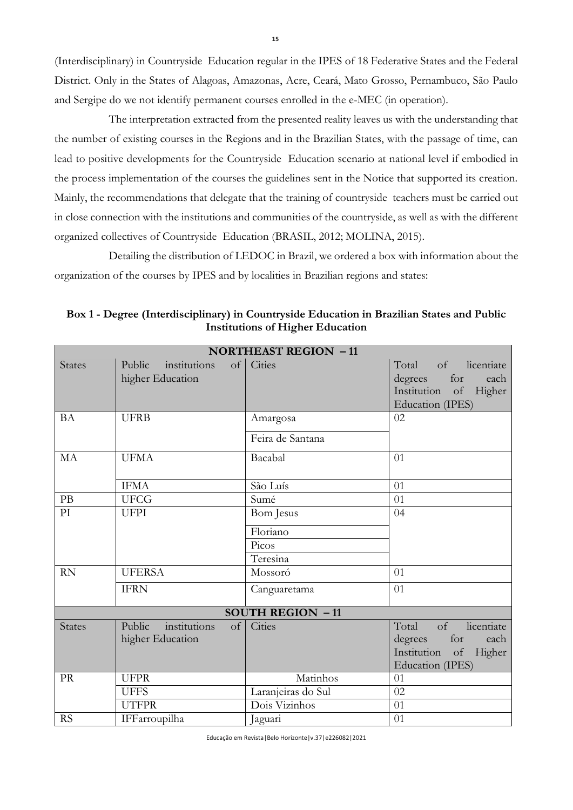(Interdisciplinary) in Countryside Education regular in the IPES of 18 Federative States and the Federal District. Only in the States of Alagoas, Amazonas, Acre, Ceará, Mato Grosso, Pernambuco, São Paulo and Sergipe do we not identify permanent courses enrolled in the e-MEC (in operation).

The interpretation extracted from the presented reality leaves us with the understanding that the number of existing courses in the Regions and in the Brazilian States, with the passage of time, can lead to positive developments for the Countryside Education scenario at national level if embodied in the process implementation of the courses the guidelines sent in the Notice that supported its creation. Mainly, the recommendations that delegate that the training of countryside teachers must be carried out in close connection with the institutions and communities of the countryside, as well as with the different organized collectives of Countryside Education (BRASIL, 2012; MOLINA, 2015).

Detailing the distribution of LEDOC in Brazil, we ordered a box with information about the organization of the courses by IPES and by localities in Brazilian regions and states:

| <b>NORTHEAST REGION - 11</b> |                                                                      |                              |                                                                                                             |  |  |
|------------------------------|----------------------------------------------------------------------|------------------------------|-------------------------------------------------------------------------------------------------------------|--|--|
| <b>States</b>                | Public<br>of<br>institutions<br>higher Education                     | Cities                       | $\sigma$<br>Total<br>licentiate<br>for<br>degrees<br>each<br>of Higher<br>Institution<br>Education (IPES)   |  |  |
| <b>BA</b>                    | <b>UFRB</b>                                                          | Amargosa<br>Feira de Santana | 02                                                                                                          |  |  |
| MA                           | <b>UFMA</b>                                                          | Bacabal                      | 01                                                                                                          |  |  |
|                              | <b>IFMA</b>                                                          | São Luís                     | 01                                                                                                          |  |  |
| PB                           | <b>UFCG</b>                                                          | Sumé                         | 01                                                                                                          |  |  |
| PI                           | <b>UFPI</b>                                                          | Bom Jesus                    | 04                                                                                                          |  |  |
|                              |                                                                      | Floriano                     |                                                                                                             |  |  |
|                              |                                                                      | Picos                        |                                                                                                             |  |  |
|                              |                                                                      | Teresina                     |                                                                                                             |  |  |
| <b>RN</b>                    | <b>UFERSA</b>                                                        | Mossoró                      | 01                                                                                                          |  |  |
|                              | <b>IFRN</b>                                                          | Canguaretama                 | 01                                                                                                          |  |  |
| <b>SOUTH REGION -11</b>      |                                                                      |                              |                                                                                                             |  |  |
| <b>States</b>                | institutions<br>Public<br>$\overline{\text{of}}$<br>higher Education | Cities                       | licentiate<br>$\sigma$ f<br>Total<br>for<br>degrees<br>each<br>Institution of<br>Higher<br>Education (IPES) |  |  |
| PR                           | <b>UFPR</b>                                                          | Matinhos                     | 01                                                                                                          |  |  |
|                              | <b>UFFS</b>                                                          | Laranjeiras do Sul           | 02                                                                                                          |  |  |
|                              | <b>UTFPR</b>                                                         | Dois Vizinhos                | 01                                                                                                          |  |  |
| <b>RS</b>                    | IFFarroupilha                                                        | Jaguari                      | 01                                                                                                          |  |  |

**Box 1 - Degree (Interdisciplinary) in Countryside Education in Brazilian States and Public Institutions of Higher Education**

Educação em Revista|Belo Horizonte|v.37|e226082|2021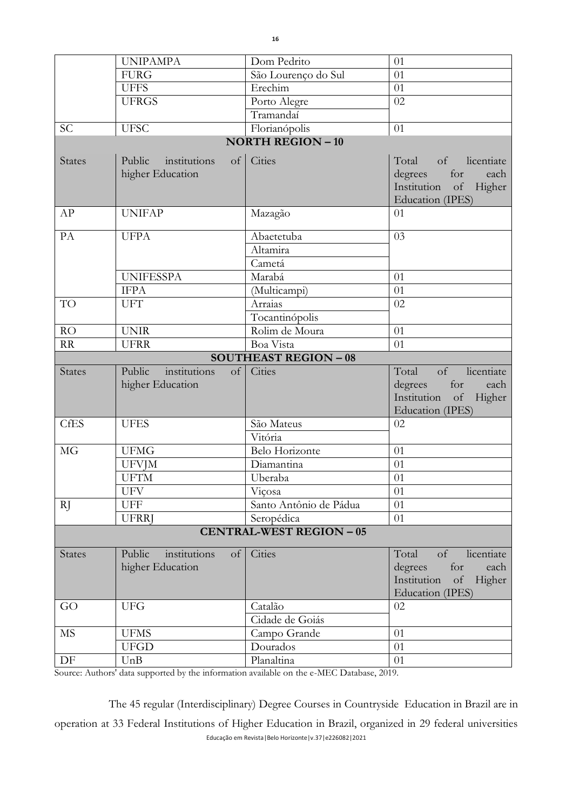|                          | <b>UNIPAMPA</b>                                             | Dom Pedrito                                   | 01                                                                                                             |  |  |  |
|--------------------------|-------------------------------------------------------------|-----------------------------------------------|----------------------------------------------------------------------------------------------------------------|--|--|--|
|                          |                                                             |                                               |                                                                                                                |  |  |  |
|                          | <b>FURG</b>                                                 | São Lourenço do Sul                           | 01                                                                                                             |  |  |  |
|                          | <b>UFFS</b>                                                 | Erechim                                       | 01                                                                                                             |  |  |  |
|                          | <b>UFRGS</b>                                                | Porto Alegre                                  | 02                                                                                                             |  |  |  |
|                          |                                                             | Tramandaí                                     |                                                                                                                |  |  |  |
| <b>SC</b>                | <b>UFSC</b>                                                 | Florianópolis                                 | 01                                                                                                             |  |  |  |
| <b>NORTH REGION - 10</b> |                                                             |                                               |                                                                                                                |  |  |  |
| <b>States</b>            | institutions<br><sub>of</sub><br>Public<br>higher Education | Cities                                        | <sub>of</sub><br>licentiate<br>Total<br>for<br>degrees<br>each<br>of Higher<br>Institution<br>Education (IPES) |  |  |  |
| AP                       | <b>UNIFAP</b>                                               | Mazagão                                       | 01                                                                                                             |  |  |  |
| PA                       | <b>UFPA</b>                                                 | Abaetetuba                                    | 03                                                                                                             |  |  |  |
|                          |                                                             | Altamira                                      |                                                                                                                |  |  |  |
|                          |                                                             | Cametá                                        |                                                                                                                |  |  |  |
|                          | <b>UNIFESSPA</b>                                            | Marabá                                        | 01                                                                                                             |  |  |  |
|                          | <b>IFPA</b>                                                 | (Multicampi)                                  | 01                                                                                                             |  |  |  |
| TO                       | <b>UFT</b>                                                  | Arraias                                       | 02                                                                                                             |  |  |  |
|                          |                                                             | Tocantinópolis                                |                                                                                                                |  |  |  |
|                          | <b>UNIR</b>                                                 | Rolim de Moura                                | 01                                                                                                             |  |  |  |
| RO                       |                                                             |                                               |                                                                                                                |  |  |  |
| RR                       | <b>UFRR</b>                                                 | Boa Vista                                     | 01                                                                                                             |  |  |  |
|                          | <b>SOUTHEAST REGION - 08</b>                                |                                               |                                                                                                                |  |  |  |
| <b>States</b>            | Public<br>institutions<br><sub>of</sub><br>higher Education | Cities                                        | licentiate<br>of<br>Total<br>for<br>degrees<br>each<br>of<br>Higher<br>Institution<br><b>Education</b> (IPES)  |  |  |  |
| CfES                     | <b>UFES</b>                                                 | São Mateus                                    | 02                                                                                                             |  |  |  |
|                          |                                                             | Vitória                                       |                                                                                                                |  |  |  |
| MG                       |                                                             |                                               |                                                                                                                |  |  |  |
|                          |                                                             |                                               |                                                                                                                |  |  |  |
|                          | <b>UFMG</b>                                                 | Belo Horizonte                                | 01                                                                                                             |  |  |  |
|                          | <b>UFVJM</b>                                                | Diamantina                                    | 01                                                                                                             |  |  |  |
|                          | <b>UFTM</b>                                                 | Uberaba                                       | 01                                                                                                             |  |  |  |
|                          | <b>UFV</b>                                                  | Viçosa                                        | 01                                                                                                             |  |  |  |
| RJ                       | <b>UFF</b>                                                  | Santo Antônio de Pádua                        | 01                                                                                                             |  |  |  |
|                          | <b>UFRRJ</b>                                                | Seropédica<br><b>CENTRAL-WEST REGION - 05</b> | 01                                                                                                             |  |  |  |
|                          |                                                             |                                               |                                                                                                                |  |  |  |
| <b>States</b>            | Public<br>institutions<br><sub>of</sub><br>higher Education | Cities                                        | of<br>Total<br>licentiate<br>degrees<br>for<br>each<br>Institution<br>Higher<br>of<br>Education (IPES)         |  |  |  |
| GO                       | <b>UFG</b>                                                  | Catalão                                       | 02                                                                                                             |  |  |  |
|                          |                                                             | Cidade de Goiás                               |                                                                                                                |  |  |  |
| MS                       | <b>UFMS</b>                                                 | Campo Grande                                  | 01                                                                                                             |  |  |  |
|                          | <b>UFGD</b>                                                 | Dourados                                      | 01                                                                                                             |  |  |  |

Source: Authors' data supported by the information available on the e-MEC Database, 2019.

Educação em Revista|Belo Horizonte|v.37|e226082|2021 The 45 regular (Interdisciplinary) Degree Courses in Countryside Education in Brazil are in operation at 33 Federal Institutions of Higher Education in Brazil, organized in 29 federal universities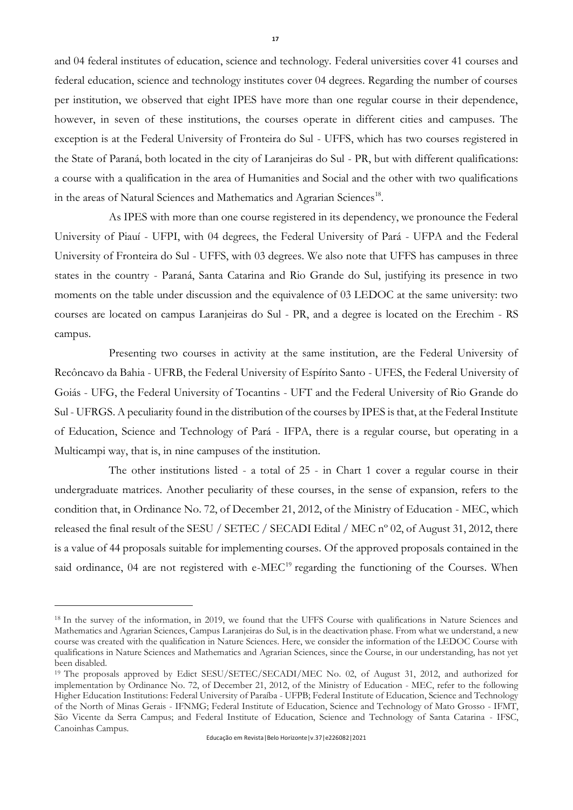and 04 federal institutes of education, science and technology. Federal universities cover 41 courses and federal education, science and technology institutes cover 04 degrees. Regarding the number of courses per institution, we observed that eight IPES have more than one regular course in their dependence, however, in seven of these institutions, the courses operate in different cities and campuses. The exception is at the Federal University of Fronteira do Sul - UFFS, which has two courses registered in the State of Paraná, both located in the city of Laranjeiras do Sul - PR, but with different qualifications: a course with a qualification in the area of Humanities and Social and the other with two qualifications in the areas of Natural Sciences and Mathematics and Agrarian Sciences<sup>18</sup>.

As IPES with more than one course registered in its dependency, we pronounce the Federal University of Piauí - UFPI, with 04 degrees, the Federal University of Pará - UFPA and the Federal University of Fronteira do Sul - UFFS, with 03 degrees. We also note that UFFS has campuses in three states in the country - Paraná, Santa Catarina and Rio Grande do Sul, justifying its presence in two moments on the table under discussion and the equivalence of 03 LEDOC at the same university: two courses are located on campus Laranjeiras do Sul - PR, and a degree is located on the Erechim - RS campus.

Presenting two courses in activity at the same institution, are the Federal University of Recôncavo da Bahia - UFRB, the Federal University of Espírito Santo - UFES, the Federal University of Goiás - UFG, the Federal University of Tocantins - UFT and the Federal University of Rio Grande do Sul - UFRGS. A peculiarity found in the distribution of the courses by IPES is that, at the Federal Institute of Education, Science and Technology of Pará - IFPA, there is a regular course, but operating in a Multicampi way, that is, in nine campuses of the institution.

The other institutions listed - a total of 25 - in Chart 1 cover a regular course in their undergraduate matrices. Another peculiarity of these courses, in the sense of expansion, refers to the condition that, in Ordinance No. 72, of December 21, 2012, of the Ministry of Education - MEC, which released the final result of the SESU / SETEC / SECADI Edital / MEC nº 02, of August 31, 2012, there is a value of 44 proposals suitable for implementing courses. Of the approved proposals contained in the said ordinance, 04 are not registered with e-MEC<sup>19</sup> regarding the functioning of the Courses. When

<sup>&</sup>lt;sup>18</sup> In the survey of the information, in 2019, we found that the UFFS Course with qualifications in Nature Sciences and Mathematics and Agrarian Sciences, Campus Laranjeiras do Sul, is in the deactivation phase. From what we understand, a new course was created with the qualification in Nature Sciences. Here, we consider the information of the LEDOC Course with qualifications in Nature Sciences and Mathematics and Agrarian Sciences, since the Course, in our understanding, has not yet been disabled.

<sup>19</sup> The proposals approved by Edict SESU/SETEC/SECADI/MEC No. 02, of August 31, 2012, and authorized for implementation by Ordinance No. 72, of December 21, 2012, of the Ministry of Education - MEC, refer to the following Higher Education Institutions: Federal University of Paraíba - UFPB; Federal Institute of Education, Science and Technology of the North of Minas Gerais - IFNMG; Federal Institute of Education, Science and Technology of Mato Grosso - IFMT, São Vicente da Serra Campus; and Federal Institute of Education, Science and Technology of Santa Catarina - IFSC, Canoinhas Campus.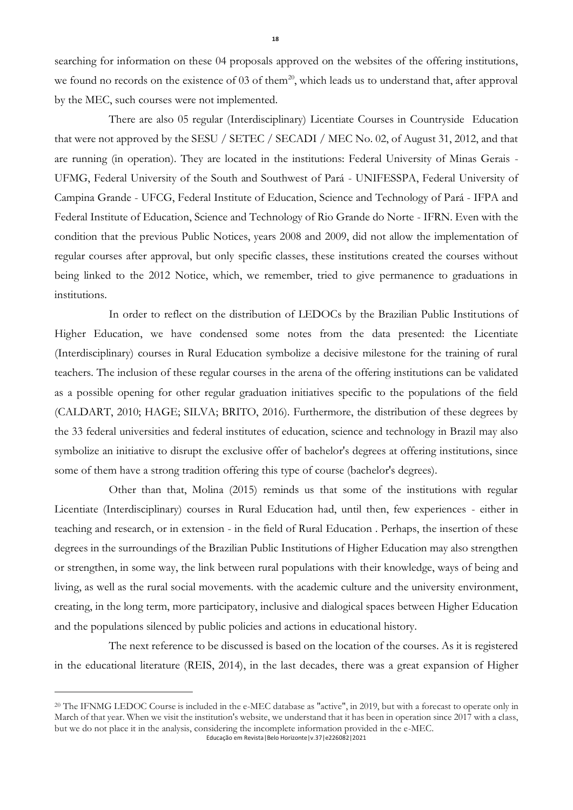searching for information on these 04 proposals approved on the websites of the offering institutions, we found no records on the existence of 03 of them<sup>20</sup>, which leads us to understand that, after approval by the MEC, such courses were not implemented.

There are also 05 regular (Interdisciplinary) Licentiate Courses in Countryside Education that were not approved by the SESU / SETEC / SECADI / MEC No. 02, of August 31, 2012, and that are running (in operation). They are located in the institutions: Federal University of Minas Gerais - UFMG, Federal University of the South and Southwest of Pará - UNIFESSPA, Federal University of Campina Grande - UFCG, Federal Institute of Education, Science and Technology of Pará - IFPA and Federal Institute of Education, Science and Technology of Rio Grande do Norte - IFRN. Even with the condition that the previous Public Notices, years 2008 and 2009, did not allow the implementation of regular courses after approval, but only specific classes, these institutions created the courses without being linked to the 2012 Notice, which, we remember, tried to give permanence to graduations in institutions.

In order to reflect on the distribution of LEDOCs by the Brazilian Public Institutions of Higher Education, we have condensed some notes from the data presented: the Licentiate (Interdisciplinary) courses in Rural Education symbolize a decisive milestone for the training of rural teachers. The inclusion of these regular courses in the arena of the offering institutions can be validated as a possible opening for other regular graduation initiatives specific to the populations of the field (CALDART, 2010; HAGE; SILVA; BRITO, 2016). Furthermore, the distribution of these degrees by the 33 federal universities and federal institutes of education, science and technology in Brazil may also symbolize an initiative to disrupt the exclusive offer of bachelor's degrees at offering institutions, since some of them have a strong tradition offering this type of course (bachelor's degrees).

Other than that, Molina (2015) reminds us that some of the institutions with regular Licentiate (Interdisciplinary) courses in Rural Education had, until then, few experiences - either in teaching and research, or in extension - in the field of Rural Education . Perhaps, the insertion of these degrees in the surroundings of the Brazilian Public Institutions of Higher Education may also strengthen or strengthen, in some way, the link between rural populations with their knowledge, ways of being and living, as well as the rural social movements. with the academic culture and the university environment, creating, in the long term, more participatory, inclusive and dialogical spaces between Higher Education and the populations silenced by public policies and actions in educational history.

The next reference to be discussed is based on the location of the courses. As it is registered in the educational literature (REIS, 2014), in the last decades, there was a great expansion of Higher

Educação em Revista|Belo Horizonte|v.37|e226082|2021

<sup>20</sup> The IFNMG LEDOC Course is included in the e-MEC database as "active", in 2019, but with a forecast to operate only in March of that year. When we visit the institution's website, we understand that it has been in operation since 2017 with a class, but we do not place it in the analysis, considering the incomplete information provided in the e-MEC.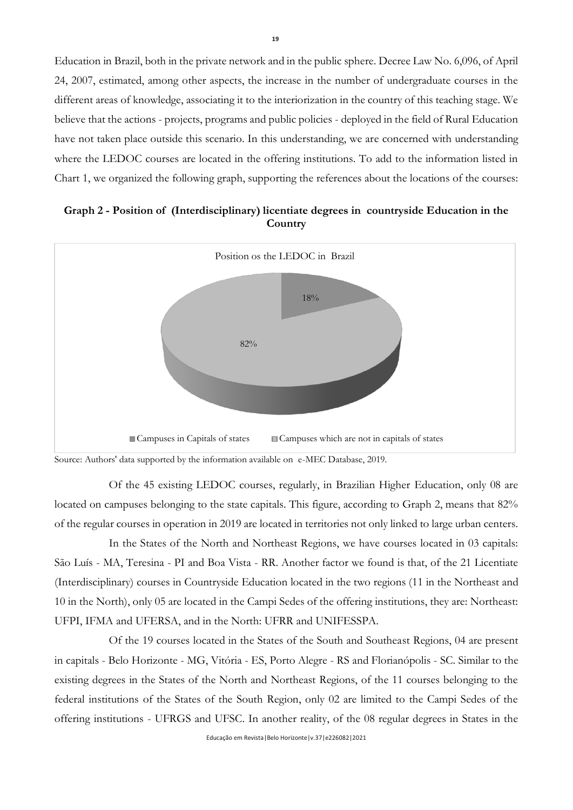Education in Brazil, both in the private network and in the public sphere. Decree Law No. 6,096, of April 24, 2007, estimated, among other aspects, the increase in the number of undergraduate courses in the different areas of knowledge, associating it to the interiorization in the country of this teaching stage. We believe that the actions - projects, programs and public policies - deployed in the field of Rural Education have not taken place outside this scenario. In this understanding, we are concerned with understanding where the LEDOC courses are located in the offering institutions. To add to the information listed in Chart 1, we organized the following graph, supporting the references about the locations of the courses:



**Graph 2 - Position of (Interdisciplinary) licentiate degrees in countryside Education in the Country**

Source: Authors' data supported by the information available on e-MEC Database, 2019.

Of the 45 existing LEDOC courses, regularly, in Brazilian Higher Education, only 08 are located on campuses belonging to the state capitals. This figure, according to Graph 2, means that 82% of the regular courses in operation in 2019 are located in territories not only linked to large urban centers.

In the States of the North and Northeast Regions, we have courses located in 03 capitals: São Luís - MA, Teresina - PI and Boa Vista - RR. Another factor we found is that, of the 21 Licentiate (Interdisciplinary) courses in Countryside Education located in the two regions (11 in the Northeast and 10 in the North), only 05 are located in the Campi Sedes of the offering institutions, they are: Northeast: UFPI, IFMA and UFERSA, and in the North: UFRR and UNIFESSPA.

Of the 19 courses located in the States of the South and Southeast Regions, 04 are present in capitals - Belo Horizonte - MG, Vitória - ES, Porto Alegre - RS and Florianópolis - SC. Similar to the existing degrees in the States of the North and Northeast Regions, of the 11 courses belonging to the federal institutions of the States of the South Region, only 02 are limited to the Campi Sedes of the offering institutions - UFRGS and UFSC. In another reality, of the 08 regular degrees in States in the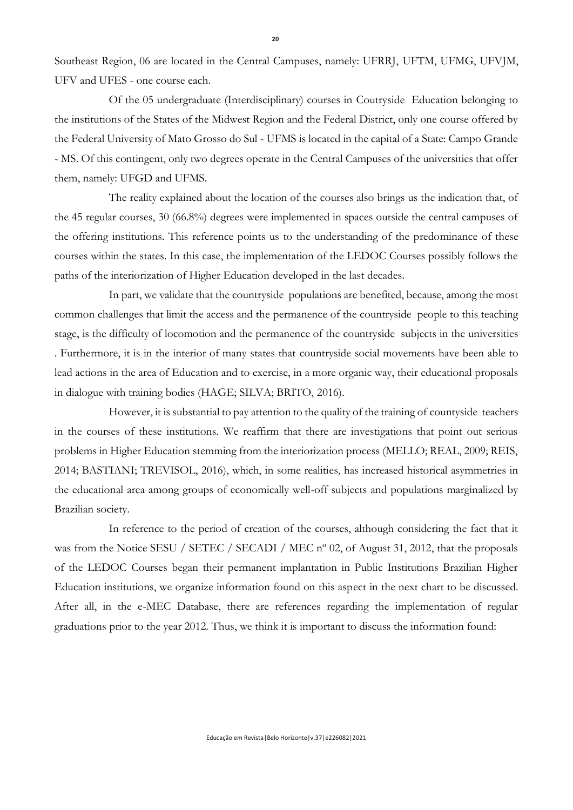Southeast Region, 06 are located in the Central Campuses, namely: UFRRJ, UFTM, UFMG, UFVJM, UFV and UFES - one course each.

Of the 05 undergraduate (Interdisciplinary) courses in Coutryside Education belonging to the institutions of the States of the Midwest Region and the Federal District, only one course offered by the Federal University of Mato Grosso do Sul - UFMS is located in the capital of a State: Campo Grande - MS. Of this contingent, only two degrees operate in the Central Campuses of the universities that offer them, namely: UFGD and UFMS.

The reality explained about the location of the courses also brings us the indication that, of the 45 regular courses, 30 (66.8%) degrees were implemented in spaces outside the central campuses of the offering institutions. This reference points us to the understanding of the predominance of these courses within the states. In this case, the implementation of the LEDOC Courses possibly follows the paths of the interiorization of Higher Education developed in the last decades.

In part, we validate that the countryside populations are benefited, because, among the most common challenges that limit the access and the permanence of the countryside people to this teaching stage, is the difficulty of locomotion and the permanence of the countryside subjects in the universities . Furthermore, it is in the interior of many states that countryside social movements have been able to lead actions in the area of Education and to exercise, in a more organic way, their educational proposals in dialogue with training bodies (HAGE; SILVA; BRITO, 2016).

However, it is substantial to pay attention to the quality of the training of countyside teachers in the courses of these institutions. We reaffirm that there are investigations that point out serious problems in Higher Education stemming from the interiorization process (MELLO; REAL, 2009; REIS, 2014; BASTIANI; TREVISOL, 2016), which, in some realities, has increased historical asymmetries in the educational area among groups of economically well-off subjects and populations marginalized by Brazilian society.

In reference to the period of creation of the courses, although considering the fact that it was from the Notice SESU / SETEC / SECADI / MEC n° 02, of August 31, 2012, that the proposals of the LEDOC Courses began their permanent implantation in Public Institutions Brazilian Higher Education institutions, we organize information found on this aspect in the next chart to be discussed. After all, in the e-MEC Database, there are references regarding the implementation of regular graduations prior to the year 2012. Thus, we think it is important to discuss the information found:

**20**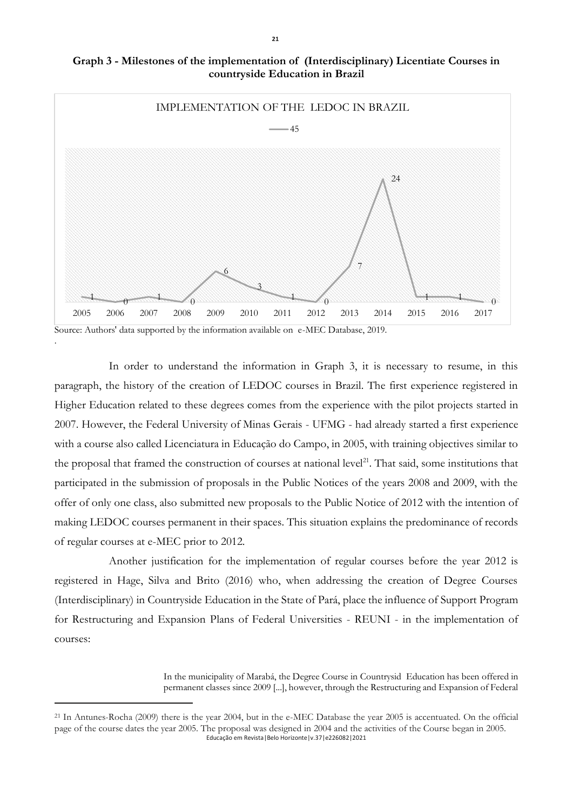**Graph 3 - Milestones of the implementation of (Interdisciplinary) Licentiate Courses in countryside Education in Brazil**



In order to understand the information in Graph 3, it is necessary to resume, in this paragraph, the history of the creation of LEDOC courses in Brazil. The first experience registered in Higher Education related to these degrees comes from the experience with the pilot projects started in 2007. However, the Federal University of Minas Gerais - UFMG - had already started a first experience with a course also called Licenciatura in Educação do Campo, in 2005, with training objectives similar to the proposal that framed the construction of courses at national level<sup>21</sup>. That said, some institutions that participated in the submission of proposals in the Public Notices of the years 2008 and 2009, with the offer of only one class, also submitted new proposals to the Public Notice of 2012 with the intention of making LEDOC courses permanent in their spaces. This situation explains the predominance of records of regular courses at e-MEC prior to 2012.

Another justification for the implementation of regular courses before the year 2012 is registered in Hage, Silva and Brito (2016) who, when addressing the creation of Degree Courses (Interdisciplinary) in Countryside Education in the State of Pará, place the influence of Support Program for Restructuring and Expansion Plans of Federal Universities - REUNI - in the implementation of courses:

> In the municipality of Marabá, the Degree Course in Countrysid Education has been offered in permanent classes since 2009 [...], however, through the Restructuring and Expansion of Federal

Educação em Revista|Belo Horizonte|v.37|e226082|2021 <sup>21</sup> In Antunes-Rocha (2009) there is the year 2004, but in the e-MEC Database the year 2005 is accentuated. On the official page of the course dates the year 2005. The proposal was designed in 2004 and the activities of the Course began in 2005.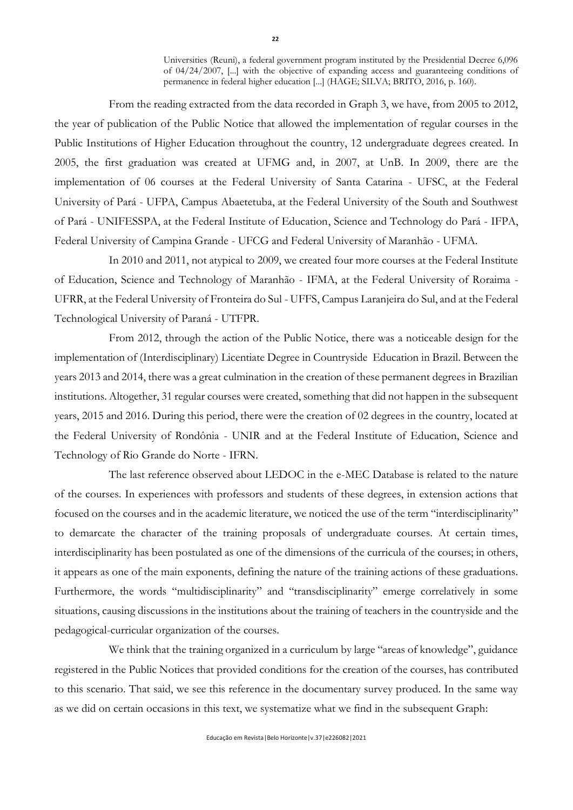Universities (Reuni), a federal government program instituted by the Presidential Decree 6,096 of 04/24/2007, [...] with the objective of expanding access and guaranteeing conditions of permanence in federal higher education [...] (HAGE; SILVA; BRITO, 2016, p. 160).

From the reading extracted from the data recorded in Graph 3, we have, from 2005 to 2012, the year of publication of the Public Notice that allowed the implementation of regular courses in the Public Institutions of Higher Education throughout the country, 12 undergraduate degrees created. In 2005, the first graduation was created at UFMG and, in 2007, at UnB. In 2009, there are the implementation of 06 courses at the Federal University of Santa Catarina - UFSC, at the Federal University of Pará - UFPA, Campus Abaetetuba, at the Federal University of the South and Southwest of Pará - UNIFESSPA, at the Federal Institute of Education, Science and Technology do Pará - IFPA, Federal University of Campina Grande - UFCG and Federal University of Maranhão - UFMA.

In 2010 and 2011, not atypical to 2009, we created four more courses at the Federal Institute of Education, Science and Technology of Maranhão - IFMA, at the Federal University of Roraima - UFRR, at the Federal University of Fronteira do Sul - UFFS, Campus Laranjeira do Sul, and at the Federal Technological University of Paraná - UTFPR.

From 2012, through the action of the Public Notice, there was a noticeable design for the implementation of (Interdisciplinary) Licentiate Degree in Countryside Education in Brazil. Between the years 2013 and 2014, there was a great culmination in the creation of these permanent degrees in Brazilian institutions. Altogether, 31 regular courses were created, something that did not happen in the subsequent years, 2015 and 2016. During this period, there were the creation of 02 degrees in the country, located at the Federal University of Rondônia - UNIR and at the Federal Institute of Education, Science and Technology of Rio Grande do Norte - IFRN.

The last reference observed about LEDOC in the e-MEC Database is related to the nature of the courses. In experiences with professors and students of these degrees, in extension actions that focused on the courses and in the academic literature, we noticed the use of the term "interdisciplinarity" to demarcate the character of the training proposals of undergraduate courses. At certain times, interdisciplinarity has been postulated as one of the dimensions of the curricula of the courses; in others, it appears as one of the main exponents, defining the nature of the training actions of these graduations. Furthermore, the words "multidisciplinarity" and "transdisciplinarity" emerge correlatively in some situations, causing discussions in the institutions about the training of teachers in the countryside and the pedagogical-curricular organization of the courses.

We think that the training organized in a curriculum by large "areas of knowledge", guidance registered in the Public Notices that provided conditions for the creation of the courses, has contributed to this scenario. That said, we see this reference in the documentary survey produced. In the same way as we did on certain occasions in this text, we systematize what we find in the subsequent Graph: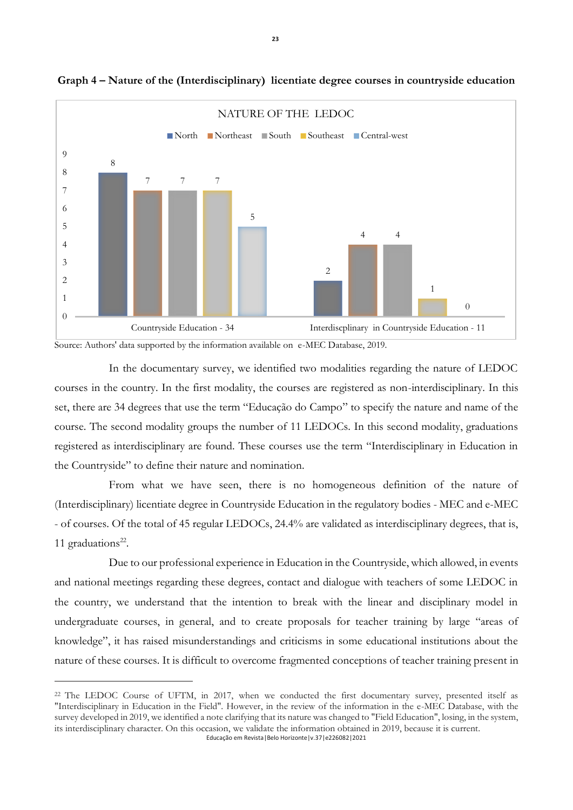



Source: Authors' data supported by the information available on e-MEC Database, 2019.

In the documentary survey, we identified two modalities regarding the nature of LEDOC courses in the country. In the first modality, the courses are registered as non-interdisciplinary. In this set, there are 34 degrees that use the term "Educação do Campo" to specify the nature and name of the course. The second modality groups the number of 11 LEDOCs. In this second modality, graduations registered as interdisciplinary are found. These courses use the term "Interdisciplinary in Education in the Countryside" to define their nature and nomination.

From what we have seen, there is no homogeneous definition of the nature of (Interdisciplinary) licentiate degree in Countryside Education in the regulatory bodies - MEC and e-MEC - of courses. Of the total of 45 regular LEDOCs, 24.4% are validated as interdisciplinary degrees, that is, 11 graduations<sup>22</sup>.

Due to our professional experience in Education in the Countryside, which allowed, in events and national meetings regarding these degrees, contact and dialogue with teachers of some LEDOC in the country, we understand that the intention to break with the linear and disciplinary model in undergraduate courses, in general, and to create proposals for teacher training by large "areas of knowledge", it has raised misunderstandings and criticisms in some educational institutions about the nature of these courses. It is difficult to overcome fragmented conceptions of teacher training present in

Educação em Revista|Belo Horizonte|v.37|e226082|2021 <sup>22</sup> The LEDOC Course of UFTM, in 2017, when we conducted the first documentary survey, presented itself as "Interdisciplinary in Education in the Field". However, in the review of the information in the e-MEC Database, with the survey developed in 2019, we identified a note clarifying that its nature was changed to "Field Education", losing, in the system, its interdisciplinary character. On this occasion, we validate the information obtained in 2019, because it is current.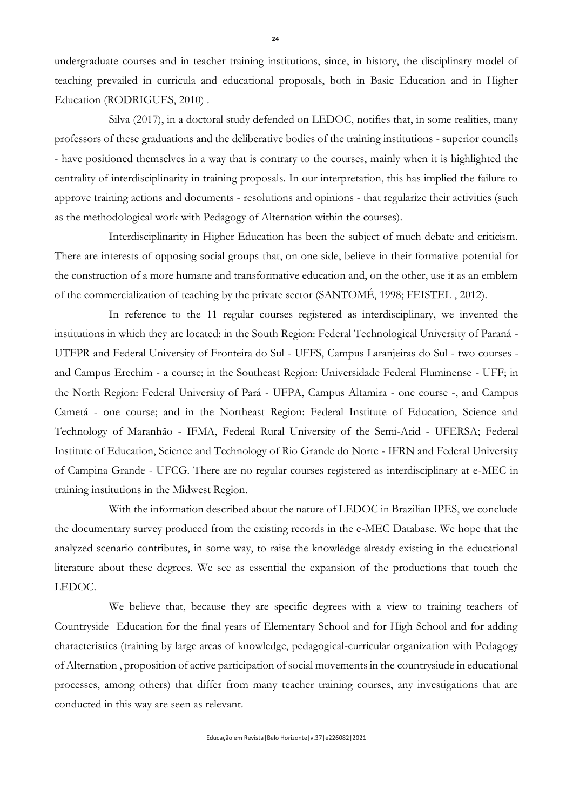undergraduate courses and in teacher training institutions, since, in history, the disciplinary model of teaching prevailed in curricula and educational proposals, both in Basic Education and in Higher Education (RODRIGUES, 2010) .

Silva (2017), in a doctoral study defended on LEDOC, notifies that, in some realities, many professors of these graduations and the deliberative bodies of the training institutions - superior councils - have positioned themselves in a way that is contrary to the courses, mainly when it is highlighted the centrality of interdisciplinarity in training proposals. In our interpretation, this has implied the failure to approve training actions and documents - resolutions and opinions - that regularize their activities (such as the methodological work with Pedagogy of Alternation within the courses).

Interdisciplinarity in Higher Education has been the subject of much debate and criticism. There are interests of opposing social groups that, on one side, believe in their formative potential for the construction of a more humane and transformative education and, on the other, use it as an emblem of the commercialization of teaching by the private sector (SANTOMÉ, 1998; FEISTEL , 2012).

In reference to the 11 regular courses registered as interdisciplinary, we invented the institutions in which they are located: in the South Region: Federal Technological University of Paraná - UTFPR and Federal University of Fronteira do Sul - UFFS, Campus Laranjeiras do Sul - two courses and Campus Erechim - a course; in the Southeast Region: Universidade Federal Fluminense - UFF; in the North Region: Federal University of Pará - UFPA, Campus Altamira - one course -, and Campus Cametá - one course; and in the Northeast Region: Federal Institute of Education, Science and Technology of Maranhão - IFMA, Federal Rural University of the Semi-Arid - UFERSA; Federal Institute of Education, Science and Technology of Rio Grande do Norte - IFRN and Federal University of Campina Grande - UFCG. There are no regular courses registered as interdisciplinary at e-MEC in training institutions in the Midwest Region.

With the information described about the nature of LEDOC in Brazilian IPES, we conclude the documentary survey produced from the existing records in the e-MEC Database. We hope that the analyzed scenario contributes, in some way, to raise the knowledge already existing in the educational literature about these degrees. We see as essential the expansion of the productions that touch the LEDOC.

We believe that, because they are specific degrees with a view to training teachers of Countryside Education for the final years of Elementary School and for High School and for adding characteristics (training by large areas of knowledge, pedagogical-curricular organization with Pedagogy of Alternation , proposition of active participation of social movements in the countrysiude in educational processes, among others) that differ from many teacher training courses, any investigations that are conducted in this way are seen as relevant.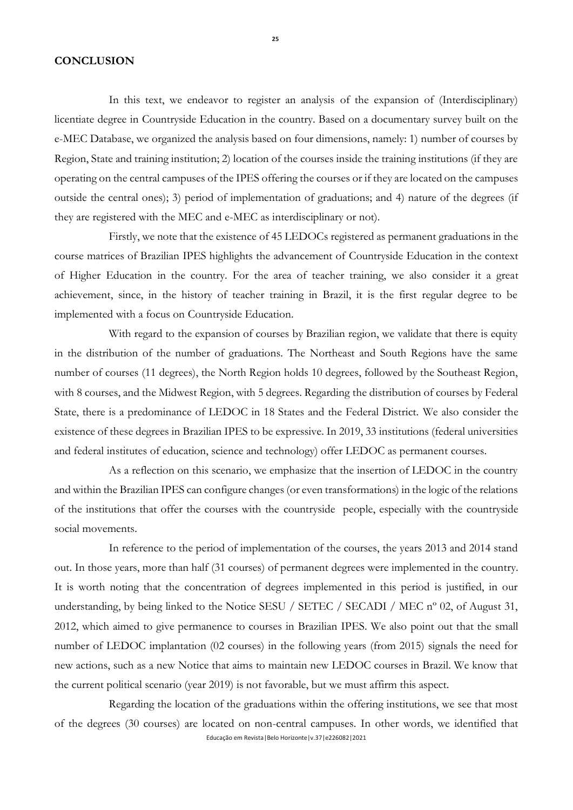### **CONCLUSION**

In this text, we endeavor to register an analysis of the expansion of (Interdisciplinary) licentiate degree in Countryside Education in the country. Based on a documentary survey built on the e-MEC Database, we organized the analysis based on four dimensions, namely: 1) number of courses by Region, State and training institution; 2) location of the courses inside the training institutions (if they are operating on the central campuses of the IPES offering the courses or if they are located on the campuses outside the central ones); 3) period of implementation of graduations; and 4) nature of the degrees (if they are registered with the MEC and e-MEC as interdisciplinary or not).

Firstly, we note that the existence of 45 LEDOCs registered as permanent graduations in the course matrices of Brazilian IPES highlights the advancement of Countryside Education in the context of Higher Education in the country. For the area of teacher training, we also consider it a great achievement, since, in the history of teacher training in Brazil, it is the first regular degree to be implemented with a focus on Countryside Education.

With regard to the expansion of courses by Brazilian region, we validate that there is equity in the distribution of the number of graduations. The Northeast and South Regions have the same number of courses (11 degrees), the North Region holds 10 degrees, followed by the Southeast Region, with 8 courses, and the Midwest Region, with 5 degrees. Regarding the distribution of courses by Federal State, there is a predominance of LEDOC in 18 States and the Federal District. We also consider the existence of these degrees in Brazilian IPES to be expressive. In 2019, 33 institutions (federal universities and federal institutes of education, science and technology) offer LEDOC as permanent courses.

As a reflection on this scenario, we emphasize that the insertion of LEDOC in the country and within the Brazilian IPES can configure changes (or even transformations) in the logic of the relations of the institutions that offer the courses with the countryside people, especially with the countryside social movements.

In reference to the period of implementation of the courses, the years 2013 and 2014 stand out. In those years, more than half (31 courses) of permanent degrees were implemented in the country. It is worth noting that the concentration of degrees implemented in this period is justified, in our understanding, by being linked to the Notice SESU / SETEC / SECADI / MEC nº 02, of August 31, 2012, which aimed to give permanence to courses in Brazilian IPES. We also point out that the small number of LEDOC implantation (02 courses) in the following years (from 2015) signals the need for new actions, such as a new Notice that aims to maintain new LEDOC courses in Brazil. We know that the current political scenario (year 2019) is not favorable, but we must affirm this aspect.

Educação em Revista|Belo Horizonte|v.37|e226082|2021 Regarding the location of the graduations within the offering institutions, we see that most of the degrees (30 courses) are located on non-central campuses. In other words, we identified that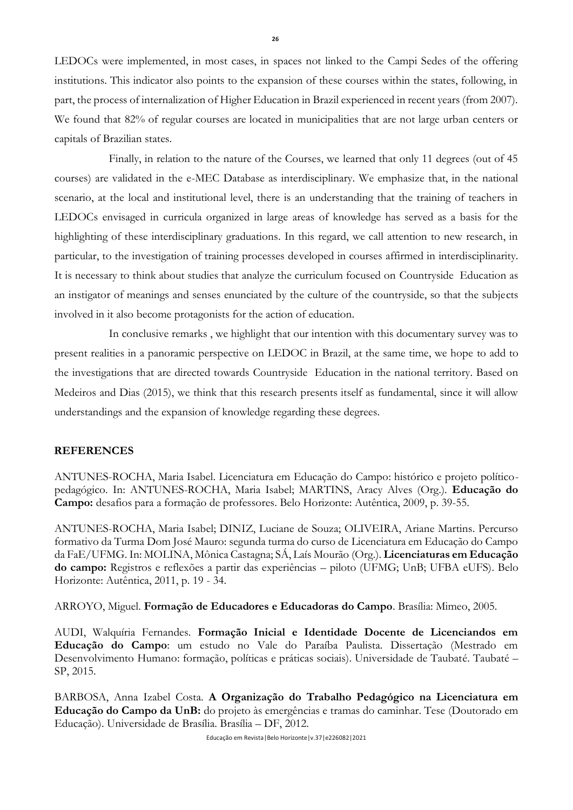LEDOCs were implemented, in most cases, in spaces not linked to the Campi Sedes of the offering institutions. This indicator also points to the expansion of these courses within the states, following, in part, the process of internalization of Higher Education in Brazil experienced in recent years (from 2007). We found that 82% of regular courses are located in municipalities that are not large urban centers or capitals of Brazilian states.

Finally, in relation to the nature of the Courses, we learned that only 11 degrees (out of 45 courses) are validated in the e-MEC Database as interdisciplinary. We emphasize that, in the national scenario, at the local and institutional level, there is an understanding that the training of teachers in LEDOCs envisaged in curricula organized in large areas of knowledge has served as a basis for the highlighting of these interdisciplinary graduations. In this regard, we call attention to new research, in particular, to the investigation of training processes developed in courses affirmed in interdisciplinarity. It is necessary to think about studies that analyze the curriculum focused on Countryside Education as an instigator of meanings and senses enunciated by the culture of the countryside, so that the subjects involved in it also become protagonists for the action of education.

In conclusive remarks , we highlight that our intention with this documentary survey was to present realities in a panoramic perspective on LEDOC in Brazil, at the same time, we hope to add to the investigations that are directed towards Countryside Education in the national territory. Based on Medeiros and Dias (2015), we think that this research presents itself as fundamental, since it will allow understandings and the expansion of knowledge regarding these degrees.

### **REFERENCES**

ANTUNES-ROCHA, Maria Isabel. Licenciatura em Educação do Campo: histórico e projeto políticopedagógico. In: ANTUNES-ROCHA, Maria Isabel; MARTINS, Aracy Alves (Org.). **Educação do Campo:** desafios para a formação de professores. Belo Horizonte: Autêntica, 2009, p. 39-55.

ANTUNES-ROCHA, Maria Isabel; DINIZ, Luciane de Souza; OLIVEIRA, Ariane Martins. Percurso formativo da Turma Dom José Mauro: segunda turma do curso de Licenciatura em Educação do Campo da FaE/UFMG. In: MOLINA, Mônica Castagna; SÁ, Laís Mourão (Org.). **Licenciaturas em Educação do campo:** Registros e reflexões a partir das experiências – piloto (UFMG; UnB; UFBA eUFS). Belo Horizonte: Autêntica, 2011, p. 19 - 34.

ARROYO, Miguel. **Formação de Educadores e Educadoras do Campo**. Brasília: Mimeo, 2005.

AUDI, Walquíria Fernandes. **Formação Inicial e Identidade Docente de Licenciandos em Educação do Campo**: um estudo no Vale do Paraíba Paulista. Dissertação (Mestrado em Desenvolvimento Humano: formação, políticas e práticas sociais). Universidade de Taubaté. Taubaté – SP, 2015.

BARBOSA, Anna Izabel Costa. **A Organização do Trabalho Pedagógico na Licenciatura em Educação do Campo da UnB:** do projeto às emergências e tramas do caminhar. Tese (Doutorado em Educação). Universidade de Brasília. Brasília – DF, 2012.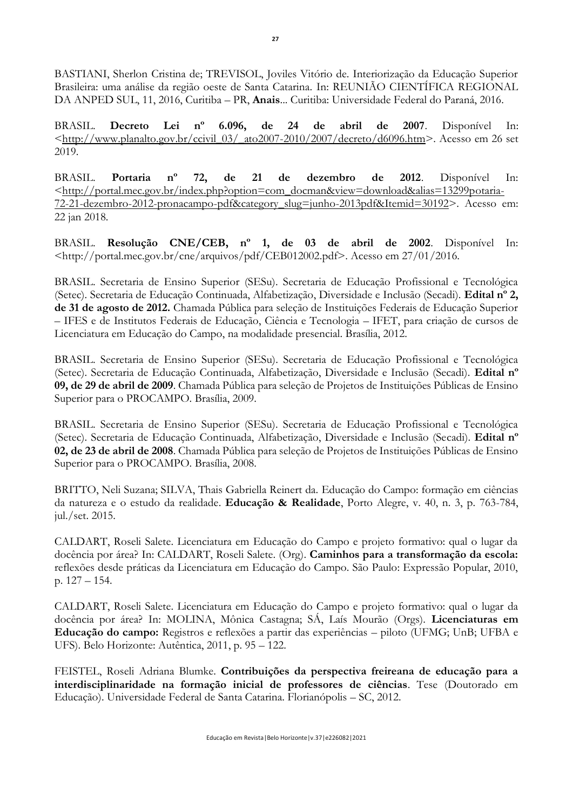BASTIANI, Sherlon Cristina de; TREVISOL, Joviles Vitório de. Interiorização da Educação Superior Brasileira: uma análise da região oeste de Santa Catarina. In: REUNIÃO CIENTÍFICA REGIONAL DA ANPED SUL, 11, 2016, Curitiba – PR, **Anais**... Curitiba: Universidade Federal do Paraná, 2016.

BRASIL. **Decreto Lei nº 6.096, de 24 de abril de 2007**. Disponível In:  $\text{th}$ ttp://www.planalto.gov.br/ccivil 03/ ato2007-2010/2007/decreto/d6096.htm>. Acesso em 26 set 2019.

BRASIL. **Portaria nº 72, de 21 de dezembro de 2012**. Disponível In: [<http://portal.mec.gov.br/index.php?option=com\\_docman&view=download&alias=13299potaria-](http://portal.mec.gov.br/index.php?option=com_docman&view=download&alias=13299potaria-72-21-dezembro-2012-pronacampo-pdf&category_slug=junho-2013pdf&Itemid=30192)[72-21-dezembro-2012-pronacampo-pdf&category\\_slug=junho-2013pdf&Itemid=30192>](http://portal.mec.gov.br/index.php?option=com_docman&view=download&alias=13299potaria-72-21-dezembro-2012-pronacampo-pdf&category_slug=junho-2013pdf&Itemid=30192). Acesso em: 22 jan 2018.

BRASIL. **Resolução CNE/CEB, nº 1, de 03 de abril de 2002**. Disponível In: <http://portal.mec.gov.br/cne/arquivos/pdf/CEB012002.pdf>. Acesso em 27/01/2016.

BRASIL. Secretaria de Ensino Superior (SESu). Secretaria de Educação Profissional e Tecnológica (Setec). Secretaria de Educação Continuada, Alfabetização, Diversidade e Inclusão (Secadi). **Edital nº 2, de 31 de agosto de 2012.** Chamada Pública para seleção de Instituições Federais de Educação Superior – IFES e de Institutos Federais de Educação, Ciência e Tecnologia – IFET, para criação de cursos de Licenciatura em Educação do Campo, na modalidade presencial. Brasília, 2012.

BRASIL. Secretaria de Ensino Superior (SESu). Secretaria de Educação Profissional e Tecnológica (Setec). Secretaria de Educação Continuada, Alfabetização, Diversidade e Inclusão (Secadi). **Edital nº 09, de 29 de abril de 2009**. Chamada Pública para seleção de Projetos de Instituições Públicas de Ensino Superior para o PROCAMPO. Brasília, 2009.

BRASIL. Secretaria de Ensino Superior (SESu). Secretaria de Educação Profissional e Tecnológica (Setec). Secretaria de Educação Continuada, Alfabetização, Diversidade e Inclusão (Secadi). **Edital nº 02, de 23 de abril de 2008**. Chamada Pública para seleção de Projetos de Instituições Públicas de Ensino Superior para o PROCAMPO. Brasília, 2008.

BRITTO, Neli Suzana; SILVA, Thais Gabriella Reinert da. Educação do Campo: formação em ciências da natureza e o estudo da realidade. **Educação & Realidade**, Porto Alegre, v. 40, n. 3, p. 763-784, jul./set. 2015.

CALDART, Roseli Salete. Licenciatura em Educação do Campo e projeto formativo: qual o lugar da docência por área? In: CALDART, Roseli Salete. (Org). **Caminhos para a transformação da escola:**  reflexões desde práticas da Licenciatura em Educação do Campo. São Paulo: Expressão Popular, 2010, p. 127 – 154.

CALDART, Roseli Salete. Licenciatura em Educação do Campo e projeto formativo: qual o lugar da docência por área? In: MOLINA, Mônica Castagna; SÁ, Laís Mourão (Orgs). **Licenciaturas em Educação do campo:** Registros e reflexões a partir das experiências – piloto (UFMG; UnB; UFBA e UFS). Belo Horizonte: Autêntica, 2011, p. 95 – 122.

FEISTEL, Roseli Adriana Blumke. **Contribuições da perspectiva freireana de educação para a interdisciplinaridade na formação inicial de professores de ciências**. Tese (Doutorado em Educação). Universidade Federal de Santa Catarina. Florianópolis – SC, 2012.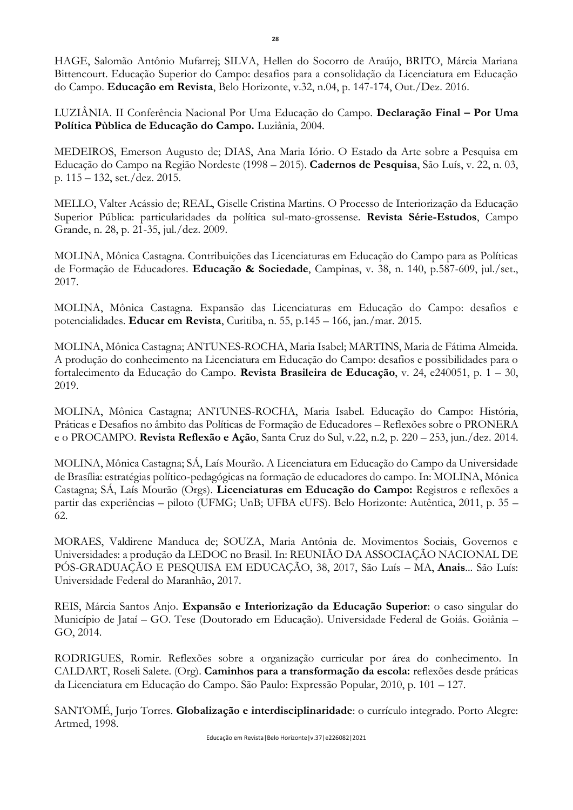HAGE, Salomão Antônio Mufarrej; SILVA, Hellen do Socorro de Araújo, BRITO, Márcia Mariana Bittencourt. Educação Superior do Campo: desafios para a consolidação da Licenciatura em Educação do Campo. **Educação em Revista**, Belo Horizonte, v.32, n.04, p. 147-174, Out./Dez. 2016.

LUZIÂNIA. II Conferência Nacional Por Uma Educação do Campo. **Declaração Final – Por Uma Política Pùblica de Educação do Campo.** Luziânia, 2004.

MEDEIROS, Emerson Augusto de; DIAS, Ana Maria Iório. O Estado da Arte sobre a Pesquisa em Educação do Campo na Região Nordeste (1998 – 2015). **Cadernos de Pesquisa**, São Luís, v. 22, n. 03, p. 115 – 132, set./dez. 2015.

MELLO, Valter Acássio de; REAL, Giselle Cristina Martins. O Processo de Interiorização da Educação Superior Pública: particularidades da política sul-mato-grossense. **Revista Série-Estudos**, Campo Grande, n. 28, p. 21-35, jul./dez. 2009.

MOLINA, Mônica Castagna. Contribuições das Licenciaturas em Educação do Campo para as Políticas de Formação de Educadores. **Educação & Sociedade**, Campinas, v. 38, n. 140, p.587-609, jul./set., 2017.

MOLINA, Mônica Castagna. Expansão das Licenciaturas em Educação do Campo: desafios e potencialidades. **Educar em Revista**, Curitiba, n. 55, p.145 – 166, jan./mar. 2015.

MOLINA, Mônica Castagna; ANTUNES-ROCHA, Maria Isabel; MARTINS, Maria de Fátima Almeida. A produção do conhecimento na Licenciatura em Educação do Campo: desafios e possibilidades para o fortalecimento da Educação do Campo. **Revista Brasileira de Educação**, v. 24, e240051, p. 1 – 30, 2019.

MOLINA, Mônica Castagna; ANTUNES-ROCHA, Maria Isabel. Educação do Campo: História, Práticas e Desafios no âmbito das Políticas de Formação de Educadores – Reflexões sobre o PRONERA e o PROCAMPO. **Revista Reflexão e Ação**, Santa Cruz do Sul, v.22, n.2, p. 220 – 253, jun./dez. 2014.

MOLINA, Mônica Castagna; SÁ, Laís Mourão. A Licenciatura em Educação do Campo da Universidade de Brasília: estratégias político-pedagógicas na formação de educadores do campo. In: MOLINA, Mônica Castagna; SÁ, Laís Mourão (Orgs). **Licenciaturas em Educação do Campo:** Registros e reflexões a partir das experiências – piloto (UFMG; UnB; UFBA eUFS). Belo Horizonte: Autêntica, 2011, p. 35 – 62.

MORAES, Valdirene Manduca de; SOUZA, Maria Antônia de. Movimentos Sociais, Governos e Universidades: a produção da LEDOC no Brasil. In: REUNIÃO DA ASSOCIAÇÃO NACIONAL DE PÓS-GRADUAÇÃO E PESQUISA EM EDUCAÇÃO, 38, 2017, São Luís – MA, **Anais**... São Luís: Universidade Federal do Maranhão, 2017.

REIS, Márcia Santos Anjo. **Expansão e Interiorização da Educação Superior**: o caso singular do Município de Jataí – GO. Tese (Doutorado em Educação). Universidade Federal de Goiás. Goiânia – GO, 2014.

RODRIGUES, Romir. Reflexões sobre a organização curricular por área do conhecimento. In CALDART, Roseli Salete. (Org). **Caminhos para a transformação da escola:** reflexões desde práticas da Licenciatura em Educação do Campo. São Paulo: Expressão Popular, 2010, p. 101 – 127.

SANTOMÉ, Jurjo Torres. **Globalização e interdisciplinaridade**: o currículo integrado. Porto Alegre: Artmed, 1998.